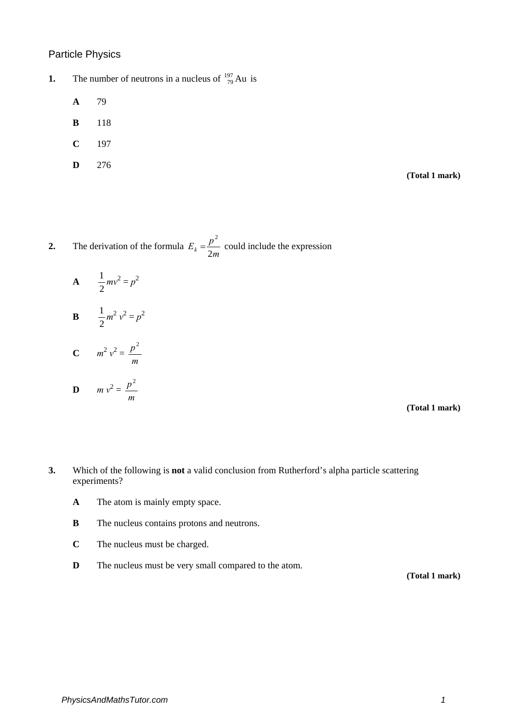## Particle Physics

- **1.** The number of neutrons in a nucleus of  $^{197}_{79}$  Au is
	- **A** 79
	- **B** 118
	- **C** 197
	- **D** 276

**(Total 1 mark)**

- **2.** The derivation of the formula  $E_k = \frac{p^2}{2m}$  $=\frac{P}{2}$  could include the expression
	- **A** 2  $\frac{1}{2}mv^2 = p^2$
	- **B** 2  $\frac{1}{2}m^2 v^2 = p^2$
	- **C**  $m^2 v^2 = \frac{p^2}{m}$

$$
D \qquad m v^2 = \frac{p^2}{m}
$$

**(Total 1 mark)**

- **3.** Which of the following is **not** a valid conclusion from Rutherford's alpha particle scattering experiments?
	- **A** The atom is mainly empty space.
	- **B** The nucleus contains protons and neutrons.
	- **C** The nucleus must be charged.
	- **D** The nucleus must be very small compared to the atom.

**(Total 1 mark)**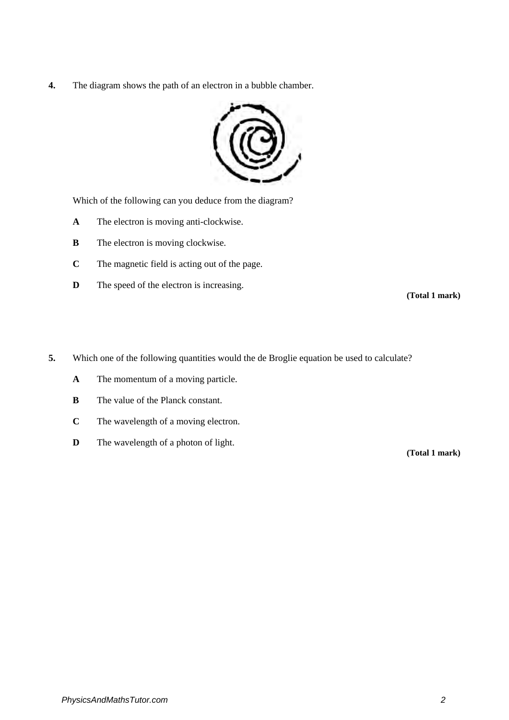**4.** The diagram shows the path of an electron in a bubble chamber.



Which of the following can you deduce from the diagram?

- **A** The electron is moving anti-clockwise.
- **B** The electron is moving clockwise.
- **C** The magnetic field is acting out of the page.
- **D** The speed of the electron is increasing.

**(Total 1 mark)**

- **5.** Which one of the following quantities would the de Broglie equation be used to calculate?
	- **A** The momentum of a moving particle.
	- **B** The value of the Planck constant.
	- **C** The wavelength of a moving electron.
	- **D** The wavelength of a photon of light.

**(Total 1 mark)**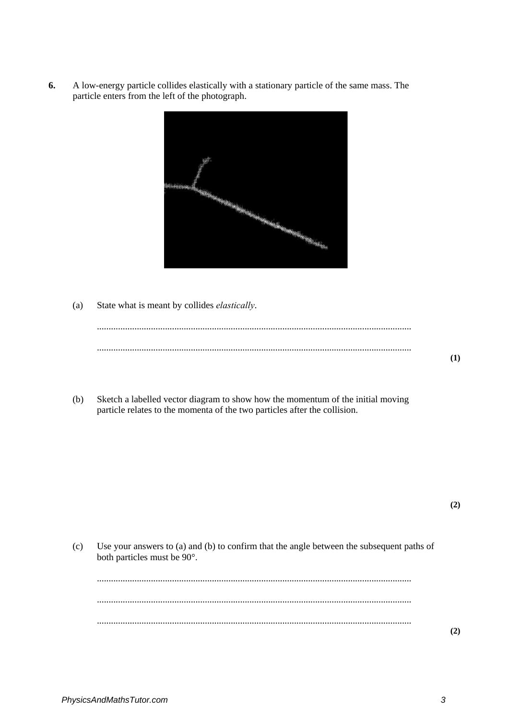**6.** A low-energy particle collides elastically with a stationary particle of the same mass. The particle enters from the left of the photograph.



- (a) State what is meant by collides *elastically*. ...................................................................................................................................... ...................................................................................................................................... **(1)**
- (b) Sketch a labelled vector diagram to show how the momentum of the initial moving particle relates to the momenta of the two particles after the collision.

**(2)**

(c) Use your answers to (a) and (b) to confirm that the angle between the subsequent paths of both particles must be 90°.

...................................................................................................................................... ...................................................................................................................................... ......................................................................................................................................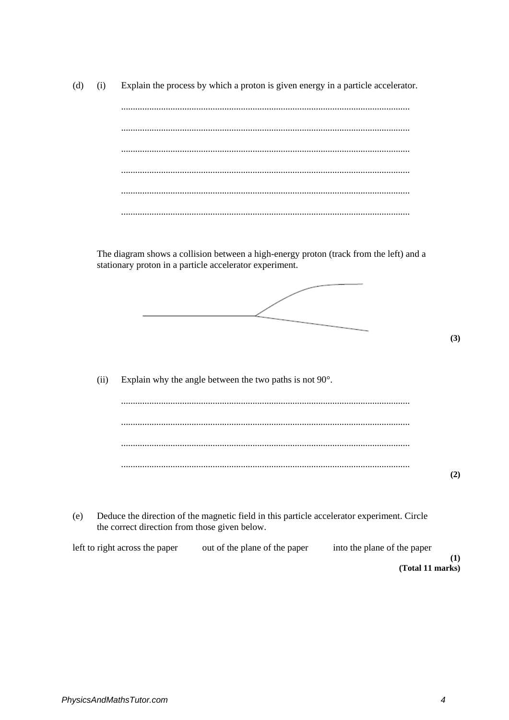Explain the process by which a proton is given energy in a particle accelerator.  $(d)$  $(i)$ 

The diagram shows a collision between a high-energy proton (track from the left) and a stationary proton in a particle accelerator experiment.



 $(ii)$ Explain why the angle between the two paths is not  $90^\circ$ .

 $(e)$ Deduce the direction of the magnetic field in this particle accelerator experiment. Circle the correct direction from those given below.

| left to right across the paper | out of the plane of the paper | into the plane of the paper |  |
|--------------------------------|-------------------------------|-----------------------------|--|
|                                |                               |                             |  |
|                                |                               | (Total 11 marks)            |  |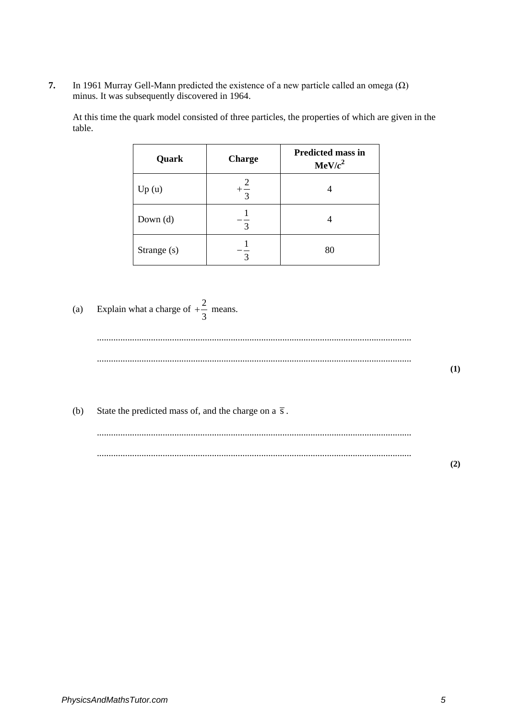**7.** In 1961 Murray Gell-Mann predicted the existence of a new particle called an omega (Ω) minus. It was subsequently discovered in 1964.

At this time the quark model consisted of three particles, the properties of which are given in the table.

| Quark       | <b>Charge</b>  | Predicted mass in<br>MeV/c <sup>2</sup> |
|-------------|----------------|-----------------------------------------|
| Up(u)       | 3              |                                         |
| Down $(d)$  | 3              |                                         |
| Strange (s) | $\overline{a}$ | 80                                      |

(a) Explain what a charge of  $+\frac{2}{3}$  means.

...................................................................................................................................... ......................................................................................................................................

**(1)**

(b) State the predicted mass of, and the charge on a  $\bar{s}$ .

...................................................................................................................................... ......................................................................................................................................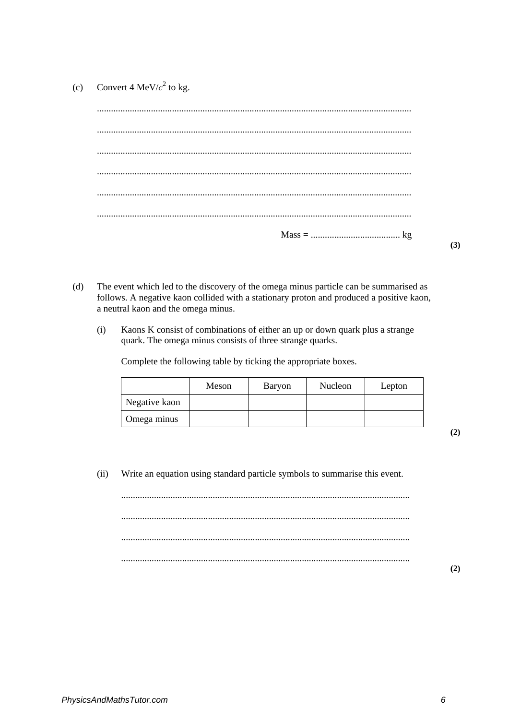## Convert 4 MeV/ $c^2$  to kg.  $(c)$

- $(d)$ The event which led to the discovery of the omega minus particle can be summarised as follows. A negative kaon collided with a stationary proton and produced a positive kaon, a neutral kaon and the omega minus.
	- Kaons K consist of combinations of either an up or down quark plus a strange  $(i)$ quark. The omega minus consists of three strange quarks.

Complete the following table by ticking the appropriate boxes.

|               | Meson | Baryon | Nucleon | Lepton |
|---------------|-------|--------|---------|--------|
| Negative kaon |       |        |         |        |
| Omega minus   |       |        |         |        |

 $(3)$ 

 $(ii)$ Write an equation using standard particle symbols to summarise this event.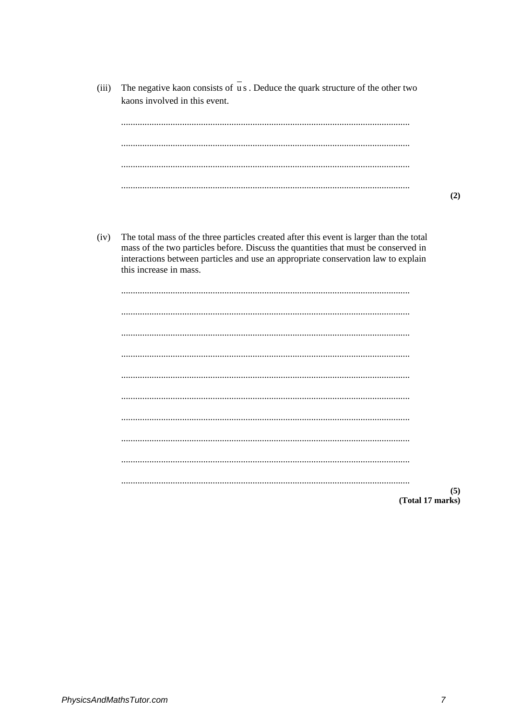The negative kaon consists of  $\overline{u}$  s. Deduce the quark structure of the other two  $(iii)$ kaons involved in this event.  $(2)$  $(iv)$ The total mass of the three particles created after this event is larger than the total mass of the two particles before. Discuss the quantities that must be conserved in interactions between particles and use an appropriate conservation law to explain this increase in mass.  $(5)$ (Total 17 marks)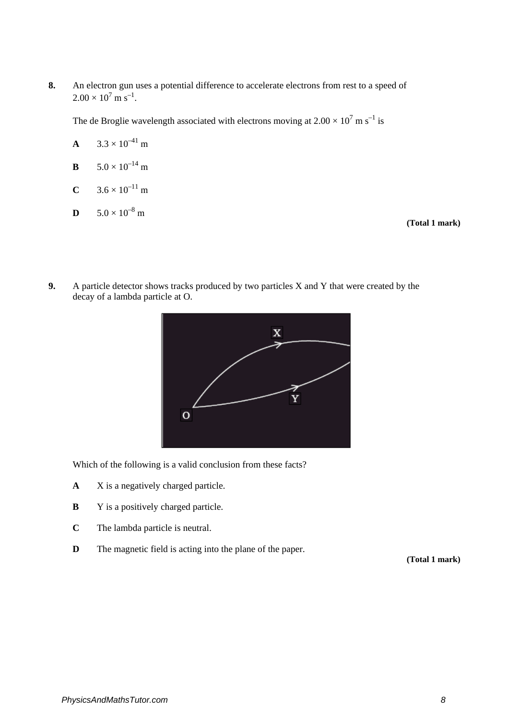**8.** An electron gun uses a potential difference to accelerate electrons from rest to a speed of  $2.00 \times 10^7$  m s<sup>-1</sup>.

The de Broglie wavelength associated with electrons moving at  $2.00 \times 10^7$  m s<sup>-1</sup> is

$$
A \qquad 3.3 \times 10^{-41} \text{ m}
$$

- **B**  $5.0 \times 10^{-14}$  m
- **C**  $3.6 \times 10^{-11}$  m
- **D**  $5.0 \times 10^{-8}$  m

**(Total 1 mark)**

**9.** A particle detector shows tracks produced by two particles X and Y that were created by the decay of a lambda particle at O.



Which of the following is a valid conclusion from these facts?

- **A** X is a negatively charged particle.
- **B** Y is a positively charged particle.
- **C** The lambda particle is neutral.
- **D** The magnetic field is acting into the plane of the paper.

**(Total 1 mark)**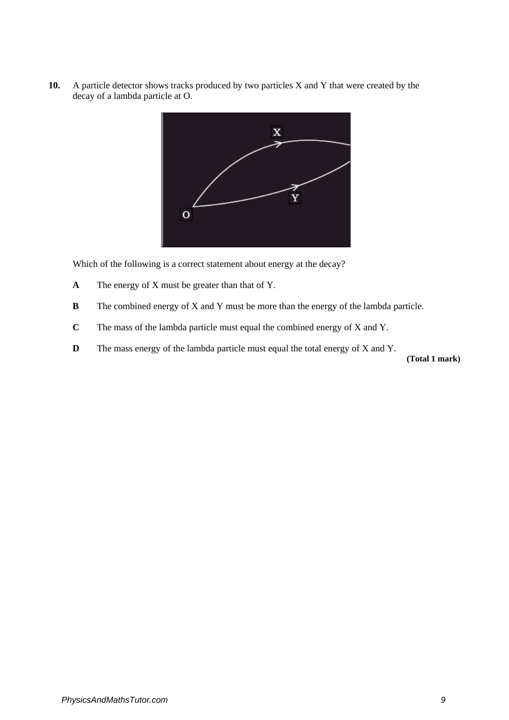**10.** A particle detector shows tracks produced by two particles X and Y that were created by the decay of a lambda particle at O.



Which of the following is a correct statement about energy at the decay?

- **A** The energy of X must be greater than that of Y.
- **B** The combined energy of X and Y must be more than the energy of the lambda particle.
- **C** The mass of the lambda particle must equal the combined energy of X and Y.
- **D** The mass energy of the lambda particle must equal the total energy of X and Y.

**(Total 1 mark)**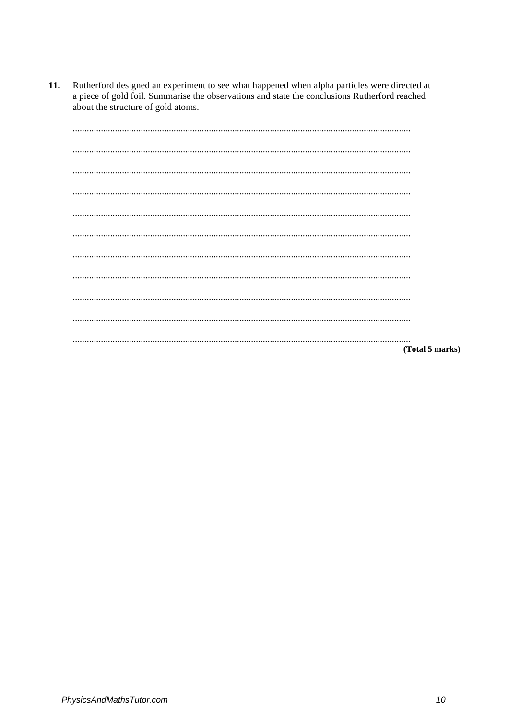Rutherford designed an experiment to see what happened when alpha particles were directed at a piece of gold foil. Summarise the observations and state the conclusions Rutherford reached about the structure of gold atoms.  $11.$ 

| (Total 5 marks) |
|-----------------|
|                 |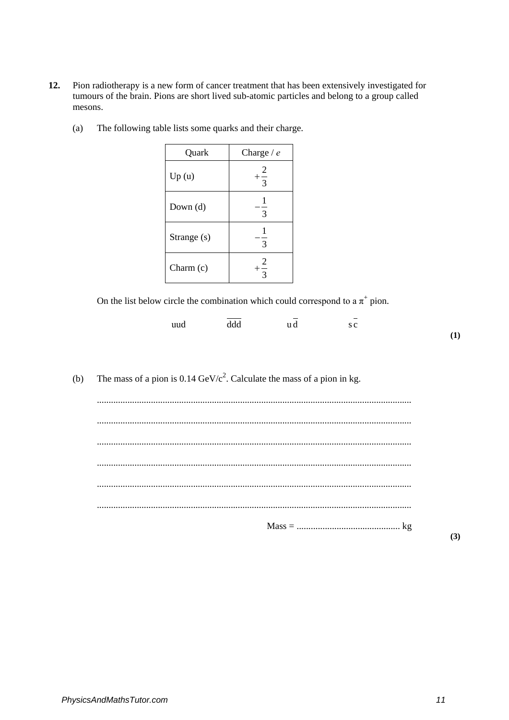**12.** Pion radiotherapy is a new form of cancer treatment that has been extensively investigated for tumours of the brain. Pions are short lived sub-atomic particles and belong to a group called mesons.

| Quark       | Charge $/e$    |
|-------------|----------------|
| Up(u)       | $+\frac{2}{3}$ |
| Down $(d)$  | $\mathcal{R}$  |
| Strange (s) | 3              |
| Charm $(c)$ | $rac{2}{3}$    |

(a) The following table lists some quarks and their charge.

On the list below circle the combination which could correspond to a  $\pi^+$  pion.

| $\sim$<br>-<br>s c | $\overline{\phantom{a}}$<br>$\overline{\phantom{0}}$<br>u d | ddd | uud |
|--------------------|-------------------------------------------------------------|-----|-----|
|                    |                                                             |     |     |

(b) The mass of a pion is 0.14 GeV/ $c^2$ . Calculate the mass of a pion in kg.

| . |
|---|
|   |
|   |
|   |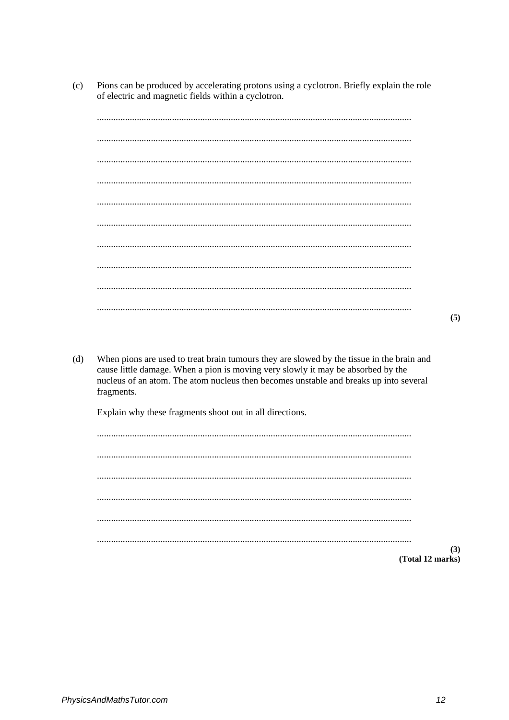Pions can be produced by accelerating protons using a cyclotron. Briefly explain the role of electric and magnetic fields within a cyclotron.  $(c)$ 

|     |                                                                                                                                                                                                                                                                                      | (5) |
|-----|--------------------------------------------------------------------------------------------------------------------------------------------------------------------------------------------------------------------------------------------------------------------------------------|-----|
|     |                                                                                                                                                                                                                                                                                      |     |
| (d) | When pions are used to treat brain tumours they are slowed by the tissue in the brain and<br>cause little damage. When a pion is moving very slowly it may be absorbed by the<br>nucleus of an atom. The atom nucleus then becomes unstable and breaks up into several<br>fragments. |     |
|     | Explain why these fragments shoot out in all directions.                                                                                                                                                                                                                             |     |
|     |                                                                                                                                                                                                                                                                                      |     |
|     |                                                                                                                                                                                                                                                                                      |     |
|     |                                                                                                                                                                                                                                                                                      |     |
|     |                                                                                                                                                                                                                                                                                      |     |
|     |                                                                                                                                                                                                                                                                                      |     |
|     |                                                                                                                                                                                                                                                                                      | (3) |
|     | (Total 12 marks)                                                                                                                                                                                                                                                                     |     |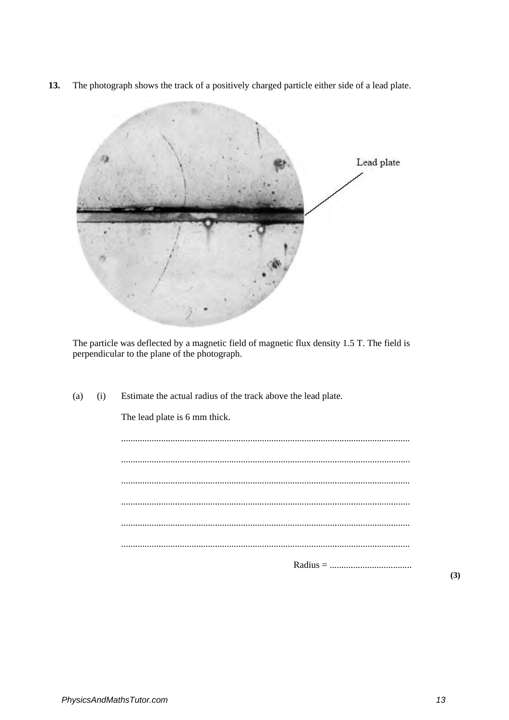$13.$ The photograph shows the track of a positively charged particle either side of a lead plate.



The particle was deflected by a magnetic field of magnetic flux density 1.5 T. The field is perpendicular to the plane of the photograph.

Estimate the actual radius of the track above the lead plate.  $(a)$  $(i)$ 

> The lead plate is 6 mm thick.  $\cdots$

 $(3)$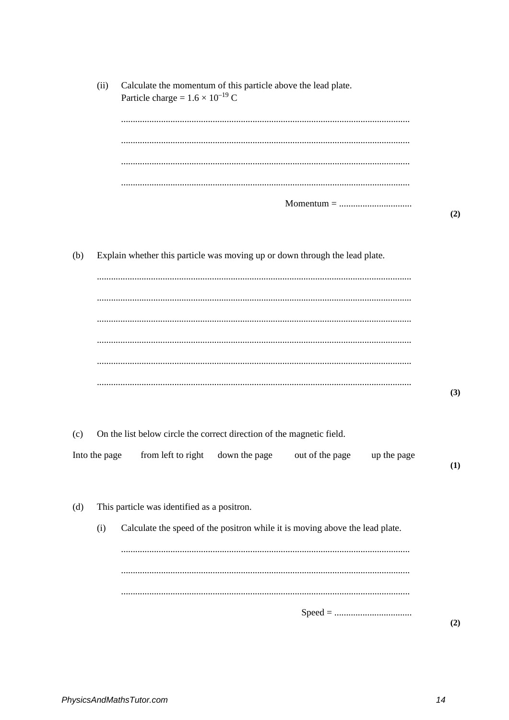|     | (ii)          | Calculate the momentum of this particle above the lead plate.                |     |
|-----|---------------|------------------------------------------------------------------------------|-----|
|     |               | Particle charge = $1.6 \times 10^{-19}$ C                                    |     |
|     |               |                                                                              |     |
|     |               |                                                                              |     |
|     |               |                                                                              |     |
|     |               |                                                                              |     |
|     |               |                                                                              |     |
|     |               |                                                                              |     |
|     |               |                                                                              |     |
|     |               |                                                                              | (2) |
|     |               |                                                                              |     |
| (b) |               | Explain whether this particle was moving up or down through the lead plate.  |     |
|     |               |                                                                              |     |
|     |               |                                                                              |     |
|     |               |                                                                              |     |
|     |               |                                                                              |     |
|     |               |                                                                              |     |
|     |               |                                                                              |     |
|     |               |                                                                              |     |
|     |               |                                                                              |     |
|     |               |                                                                              |     |
|     |               |                                                                              | (3) |
|     |               |                                                                              |     |
| (c) |               | On the list below circle the correct direction of the magnetic field.        |     |
|     |               |                                                                              |     |
|     | Into the page | from left to right<br>down the page<br>out of the page<br>up the page        | (1) |
|     |               |                                                                              |     |
|     |               |                                                                              |     |
| (d) |               | This particle was identified as a positron.                                  |     |
|     |               |                                                                              |     |
|     | (i)           | Calculate the speed of the positron while it is moving above the lead plate. |     |
|     |               |                                                                              |     |
|     |               |                                                                              |     |
|     |               |                                                                              |     |
|     |               |                                                                              |     |
|     |               |                                                                              |     |
|     |               |                                                                              | (2) |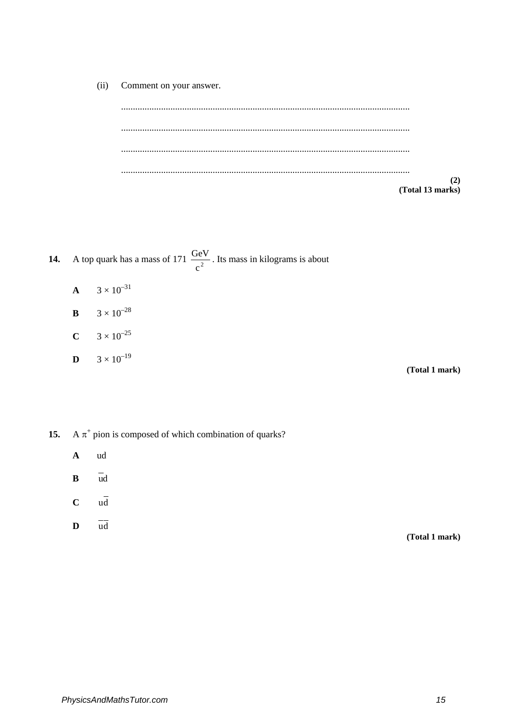Comment on your answer.  $(ii)$ 

> $(2)$ (Total 13 marks)

A top quark has a mass of 171  $\frac{GeV}{c^2}$ . Its mass in kilograms is about 14.

- $3 \times 10^{-31}$  $\mathbf{A}$
- $3 \times 10^{-28}$  $\mathbf{B}$
- $3 \times 10^{-25}$  $\mathbf{C}$
- $3 \times 10^{-19}$  $\mathbf{D}$

(Total 1 mark)

A  $\pi^+$  pion is composed of which combination of quarks?  $15.$ 

- $\mathbf{A}$ ud
- $\frac{1}{u}$  $\bf{B}$
- $\overline{u}$  $\mathbf C$
- $\overline{ud}$  $\mathbf{D}$ (Total 1 mark)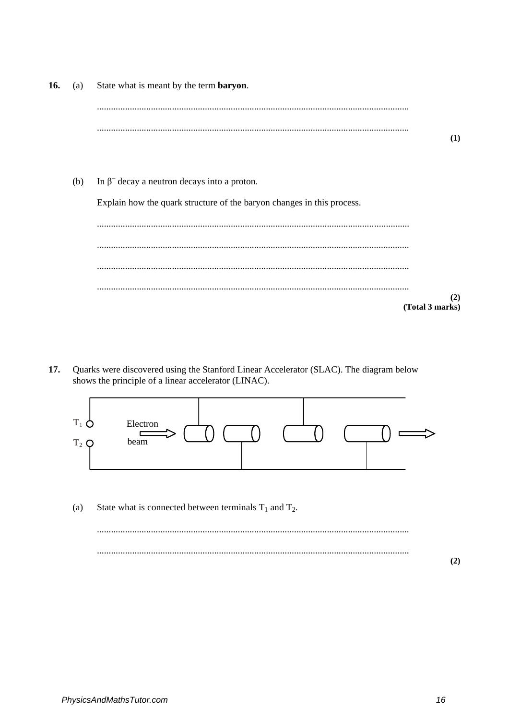16. State what is meant by the term baryon.  $(a)$  $(1)$  $(b)$ In  $β$ <sup> $-$ </sup> decay a neutron decays into a proton. Explain how the quark structure of the baryon changes in this process.  $(2)$ (Total 3 marks)

Quarks were discovered using the Stanford Linear Accelerator (SLAC). The diagram below  $17.$ shows the principle of a linear accelerator (LINAC).



State what is connected between terminals  $T_1$  and  $T_2$ .  $(a)$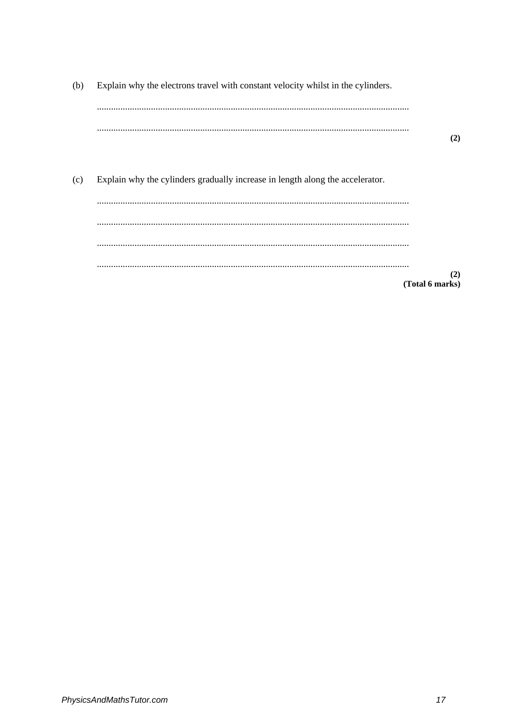$(b)$ Explain why the electrons travel with constant velocity whilst in the cylinders.  $(2)$  $(c)$ Explain why the cylinders gradually increase in length along the accelerator. 

> $(2)$  $(Total 6 marks)$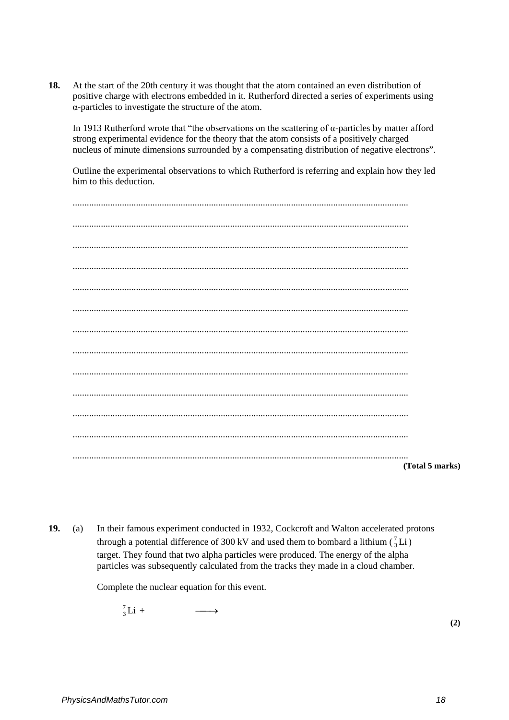**18.** At the start of the 20th century it was thought that the atom contained an even distribution of positive charge with electrons embedded in it. Rutherford directed a series of experiments using α-particles to investigate the structure of the atom.

In 1913 Rutherford wrote that "the observations on the scattering of α-particles by matter afford strong experimental evidence for the theory that the atom consists of a positively charged nucleus of minute dimensions surrounded by a compensating distribution of negative electrons".

Outline the experimental observations to which Rutherford is referring and explain how they led him to this deduction.

| (Total 5 marks) |
|-----------------|

**19.** (a) In their famous experiment conducted in 1932, Cockcroft and Walton accelerated protons through a potential difference of 300 kV and used them to bombard a lithium  $\binom{7}{3}$ Li ) target. They found that two alpha particles were produced. The energy of the alpha particles was subsequently calculated from the tracks they made in a cloud chamber.

Complete the nuclear equation for this event.

 $\frac{7}{3}$ Li + →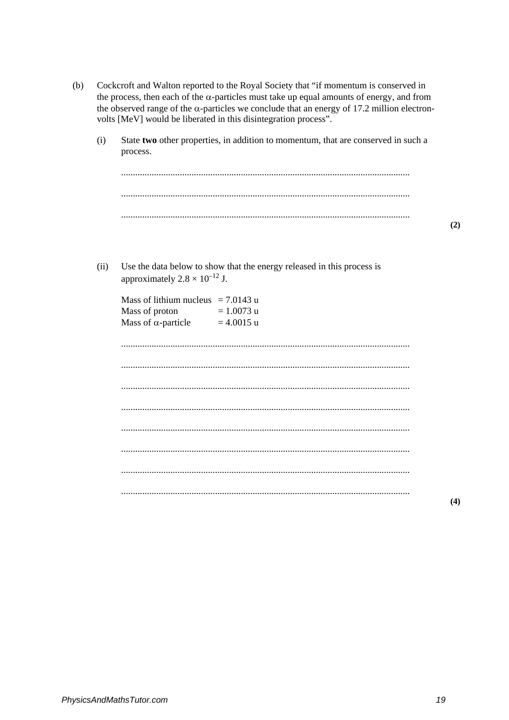- $(b)$ Cockcroft and Walton reported to the Royal Society that "if momentum is conserved in the process, then each of the  $\alpha$ -particles must take up equal amounts of energy, and from the observed range of the  $\alpha$ -particles we conclude that an energy of 17.2 million electronvolts [MeV] would be liberated in this disintegration process".
	- $(i)$ State two other properties, in addition to momentum, that are conserved in such a process.

 $(2)$ 

 $(ii)$ Use the data below to show that the energy released in this process is approximately  $2.8 \times 10^{-12}$  J.

| Mass of lithium nucleus = $7.0143$ u<br>Mass of proton<br>Mass of $\alpha$ -particle | $= 1.0073$ u<br>$= 4.0015$ u |
|--------------------------------------------------------------------------------------|------------------------------|
|                                                                                      |                              |
|                                                                                      |                              |
|                                                                                      |                              |
|                                                                                      |                              |
|                                                                                      |                              |
|                                                                                      |                              |
|                                                                                      |                              |
|                                                                                      |                              |

 $(4)$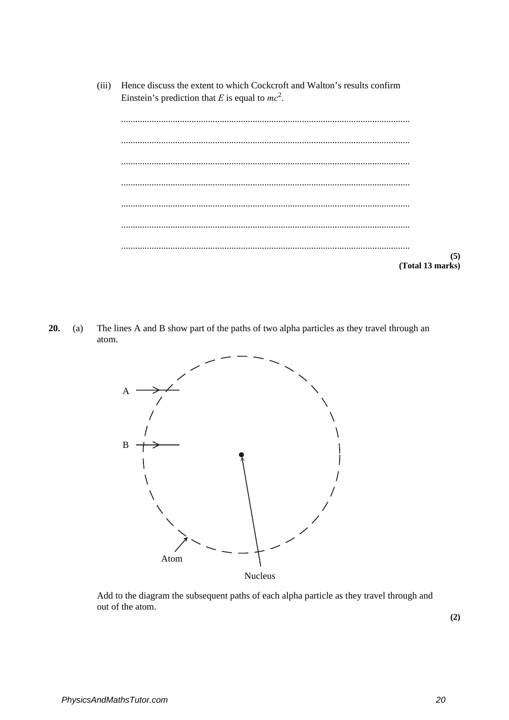Hence discuss the extent to which Cockcroft and Walton's results confirm  $(iii)$ Einstein's prediction that E is equal to  $mc^2$ .

| (5)<br>(Total 13 marks) |
|-------------------------|

The lines A and B show part of the paths of two alpha particles as they travel through an 20.  $(a)$ atom.



Add to the diagram the subsequent paths of each alpha particle as they travel through and out of the atom.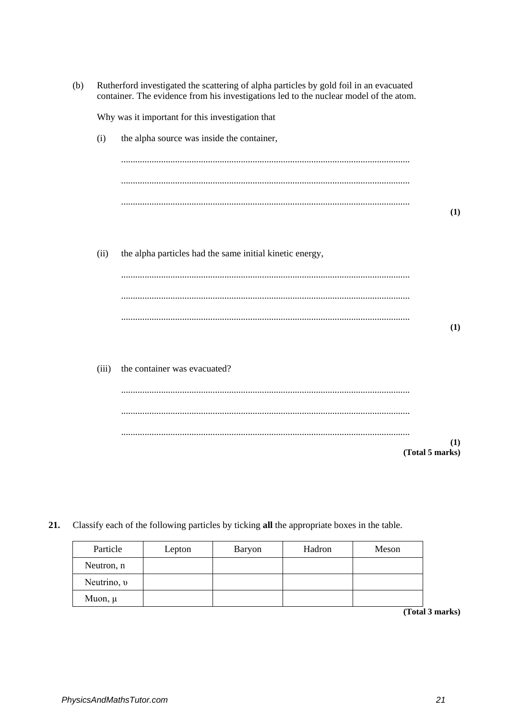| (b) |       | Rutherford investigated the scattering of alpha particles by gold foil in an evacuated<br>container. The evidence from his investigations led to the nuclear model of the atom. |                        |
|-----|-------|---------------------------------------------------------------------------------------------------------------------------------------------------------------------------------|------------------------|
|     |       | Why was it important for this investigation that                                                                                                                                |                        |
|     | (i)   | the alpha source was inside the container,                                                                                                                                      |                        |
|     |       |                                                                                                                                                                                 |                        |
|     |       |                                                                                                                                                                                 |                        |
|     |       |                                                                                                                                                                                 | (1)                    |
|     | (ii)  | the alpha particles had the same initial kinetic energy,                                                                                                                        |                        |
|     |       |                                                                                                                                                                                 |                        |
|     |       |                                                                                                                                                                                 |                        |
|     |       |                                                                                                                                                                                 | (1)                    |
|     | (iii) | the container was evacuated?                                                                                                                                                    |                        |
|     |       |                                                                                                                                                                                 |                        |
|     |       |                                                                                                                                                                                 |                        |
|     |       |                                                                                                                                                                                 | (1)<br>(Total 5 marks) |

 $21.$ Classify each of the following particles by ticking all the appropriate boxes in the table.

| Particle    | Lepton | Baryon | Hadron | Meson |
|-------------|--------|--------|--------|-------|
| Neutron, n  |        |        |        |       |
| Neutrino, v |        |        |        |       |
| Muon, $\mu$ |        |        |        |       |

 $\overline{(Total 3 marks)}$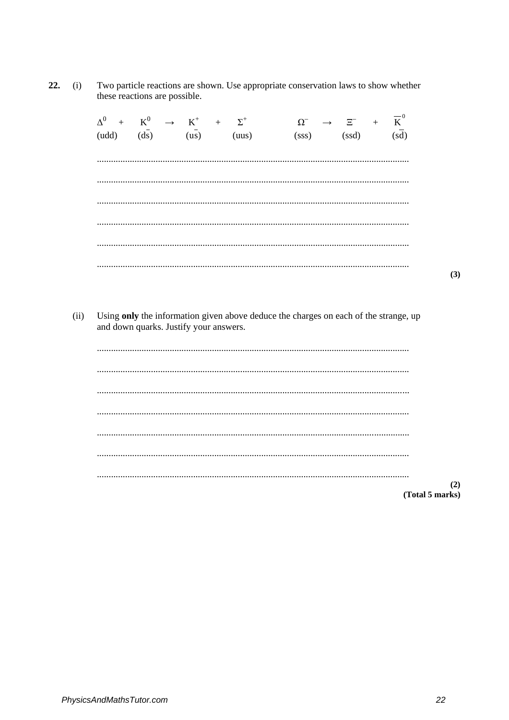22. Two particle reactions are shown. Use appropriate conservation laws to show whether  $(i)$ these reactions are possible.

| $\Delta^0$ + $K^0$ $\rightarrow$ $K^+$ + $\Sigma^+$<br>(udd) $(d\bar{s})$ (us) (uus) |  |  |  | $\Omega^- \quad \rightarrow \quad \Xi^- \quad \  + \quad \  \  \overline{K}^0$<br>$\frac{1}{\text{ss}}$ (ssd) | $(s\overline{d})$ |
|--------------------------------------------------------------------------------------|--|--|--|---------------------------------------------------------------------------------------------------------------|-------------------|
|                                                                                      |  |  |  |                                                                                                               |                   |
|                                                                                      |  |  |  |                                                                                                               |                   |
|                                                                                      |  |  |  |                                                                                                               |                   |
|                                                                                      |  |  |  |                                                                                                               | .                 |

Using only the information given above deduce the charges on each of the strange, up and down quarks. Justify your answers.  $(ii)$ 

| (2)             |
|-----------------|
| (Total 5 marks) |

 $(3)$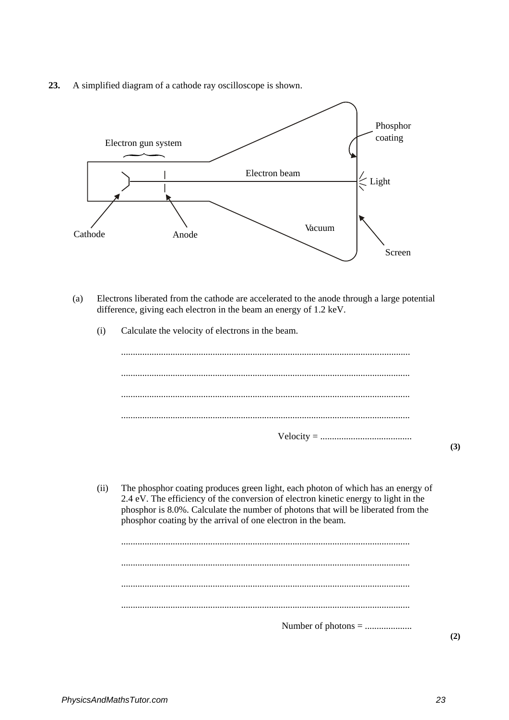**23.** A simplified diagram of a cathode ray oscilloscope is shown.



- (a) Electrons liberated from the cathode are accelerated to the anode through a large potential difference, giving each electron in the beam an energy of 1.2 keV.
	- (i) Calculate the velocity of electrons in the beam.

........................................................................................................................... ........................................................................................................................... ........................................................................................................................... ........................................................................................................................... Velocity = .......................................

(ii) The phosphor coating produces green light, each photon of which has an energy of 2.4 eV. The efficiency of the conversion of electron kinetic energy to light in the phosphor is 8.0%. Calculate the number of photons that will be liberated from the phosphor coating by the arrival of one electron in the beam.

**(2)**

**(3)**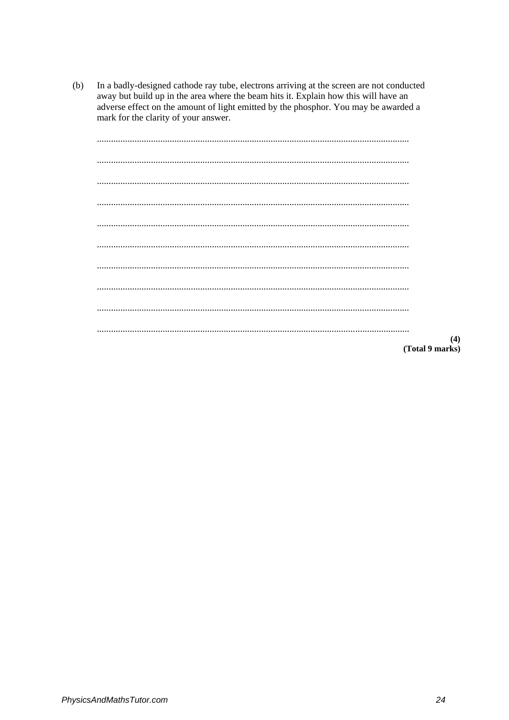In a badly-designed cathode ray tube, electrons arriving at the screen are not conducted  $(b)$ away but build up in the area where the beam hits it. Explain how this will have an adverse effect on the amount of light emitted by the phosphor. You may be awarded a mark for the clarity of your answer.

| (4)             |
|-----------------|
| (Total 9 marks) |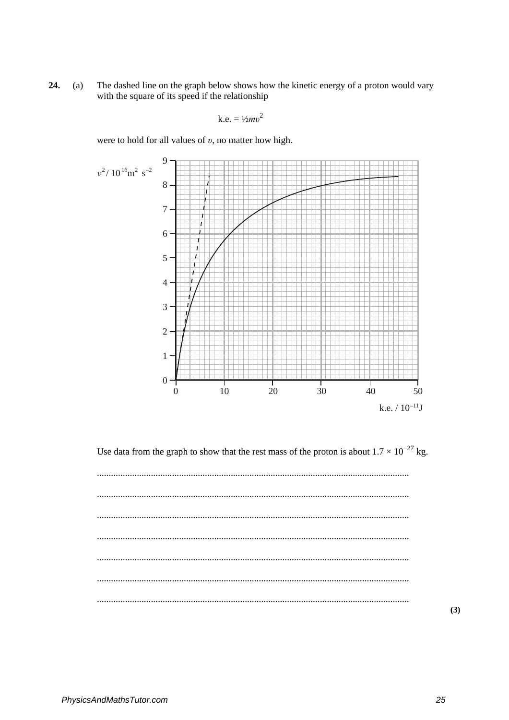The dashed line on the graph below shows how the kinetic energy of a proton would vary 24.  $(a)$ with the square of its speed if the relationship

k.e. = 
$$
\frac{1}{2}mv^2
$$

were to hold for all values of  $v$ , no matter how high.



Use data from the graph to show that the rest mass of the proton is about  $1.7 \times 10^{-27}$  kg.

 $(3)$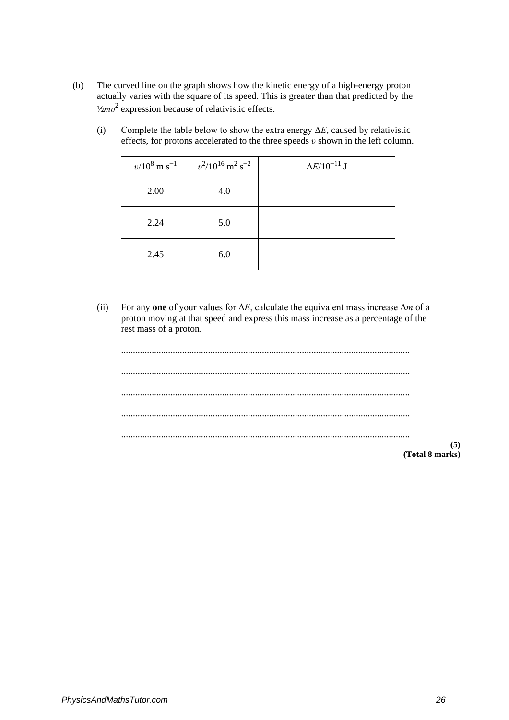(b) The curved line on the graph shows how the kinetic energy of a high-energy proton actually varies with the square of its speed. This is greater than that predicted by the ½*mυ* <sup>2</sup> expression because of relativistic effects.

| $v/10^8$ m s <sup>-1</sup> | $v^2/10^{16}$ m <sup>2</sup> s <sup>-2</sup> | $\Delta E/10^{-11}$ J |
|----------------------------|----------------------------------------------|-----------------------|
| 2.00                       | 4.0                                          |                       |
| 2.24                       | 5.0                                          |                       |
| 2.45                       | 6.0                                          |                       |

(i) Complete the table below to show the extra energy Δ*E*, caused by relativistic effects, for protons accelerated to the three speeds *υ* shown in the left column.

(ii) For any **one** of your values for Δ*E*, calculate the equivalent mass increase Δ*m* of a proton moving at that speed and express this mass increase as a percentage of the rest mass of a proton.

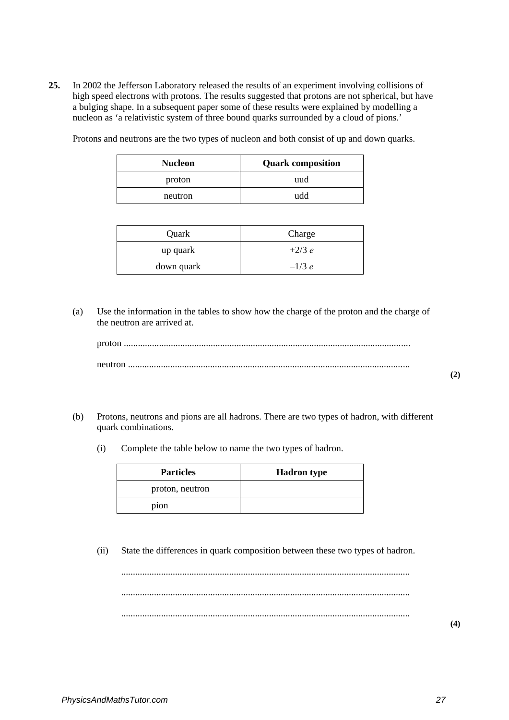**25.** In 2002 the Jefferson Laboratory released the results of an experiment involving collisions of high speed electrons with protons. The results suggested that protons are not spherical, but have a bulging shape. In a subsequent paper some of these results were explained by modelling a nucleon as 'a relativistic system of three bound quarks surrounded by a cloud of pions.'

Protons and neutrons are the two types of nucleon and both consist of up and down quarks.

| <b>Nucleon</b> | <b>Quark composition</b> |
|----------------|--------------------------|
| proton         | uud                      |
| neutron        | udd                      |

| Quark      | Charge   |
|------------|----------|
| up quark   | $+2/3 e$ |
| down quark | $-1/3 e$ |

(a) Use the information in the tables to show how the charge of the proton and the charge of the neutron are arrived at.

- (b) Protons, neutrons and pions are all hadrons. There are two types of hadron, with different quark combinations.
	- (i) Complete the table below to name the two types of hadron.

| <b>Particles</b>  | <b>Hadron</b> type |
|-------------------|--------------------|
| proton, neutron   |                    |
| p <sub>1</sub> on |                    |

(ii) State the differences in quark composition between these two types of hadron.

........................................................................................................................... ........................................................................................................................... ...........................................................................................................................

**(4)**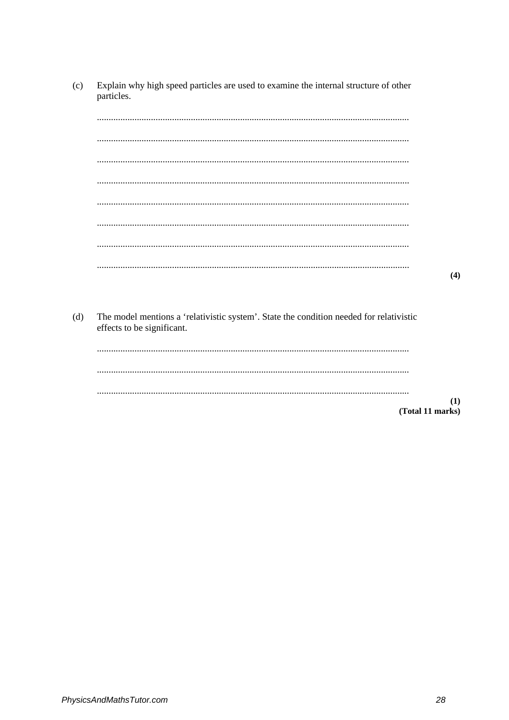Explain why high speed particles are used to examine the internal structure of other  $(c)$ particles.

 $(4)$ 

 $(1)$ 

The model mentions a 'relativistic system'. State the condition needed for relativistic  $(d)$ effects to be significant.

(Total 11 marks)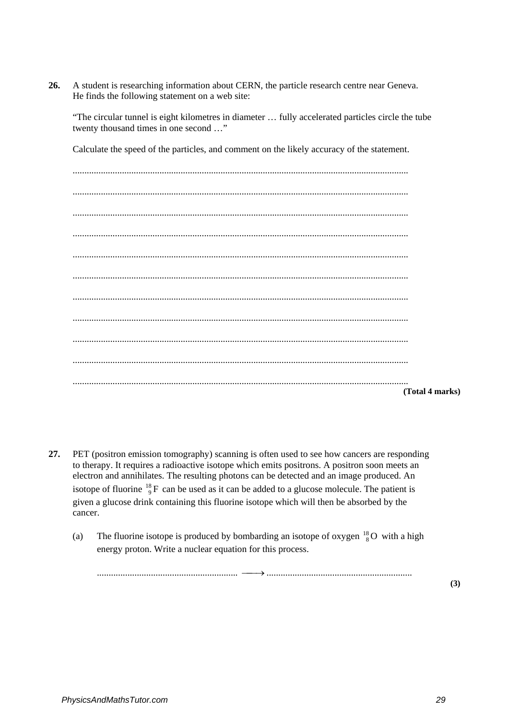26. A student is researching information about CERN, the particle research centre near Geneva. He finds the following statement on a web site:

 "The circular tunnel is eight kilometres in diameter … fully accelerated particles circle the tube twenty thousand times in one second …"

Calculate the speed of the particles, and comment on the likely accuracy of the statement.

............................................................................................................................................... ............................................................................................................................................... ............................................................................................................................................... ............................................................................................................................................... ............................................................................................................................................... ............................................................................................................................................... ............................................................................................................................................... ............................................................................................................................................... ............................................................................................................................................... ............................................................................................................................................... ............................................................................................................................................... **(Total 4 marks)**

- **27.** PET (positron emission tomography) scanning is often used to see how cancers are responding to therapy. It requires a radioactive isotope which emits positrons. A positron soon meets an electron and annihilates. The resulting photons can be detected and an image produced. An isotope of fluorine  $^{18}_{9}F$  can be used as it can be added to a glucose molecule. The patient is given a glucose drink containing this fluorine isotope which will then be absorbed by the cancer.
	- (a) The fluorine isotope is produced by bombarding an isotope of oxygen  $^{18}_{8}$ O with a high energy proton. Write a nuclear equation for this process.

............................................................ → ..............................................................

**(3)**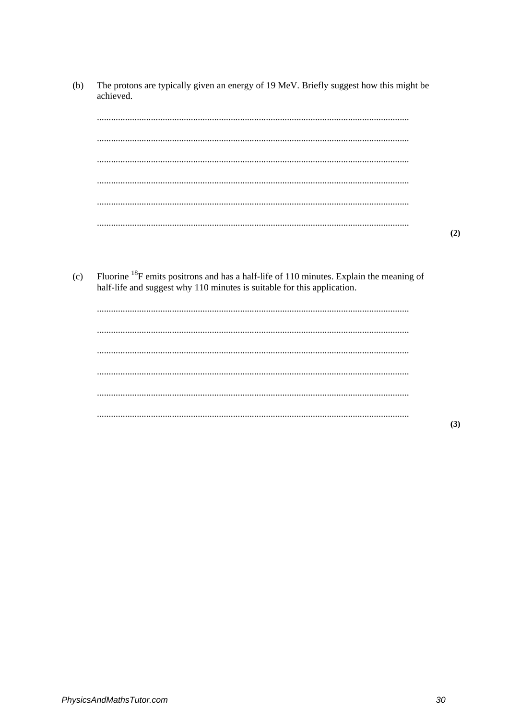The protons are typically given an energy of 19 MeV. Briefly suggest how this might be  $(b)$ achieved.

Fluorine  $^{18}$ F emits positrons and has a half-life of 110 minutes. Explain the meaning of  $(c)$ half-life and suggest why 110 minutes is suitable for this application.

|  | . |
|--|---|
|  |   |
|  |   |
|  |   |
|  |   |
|  |   |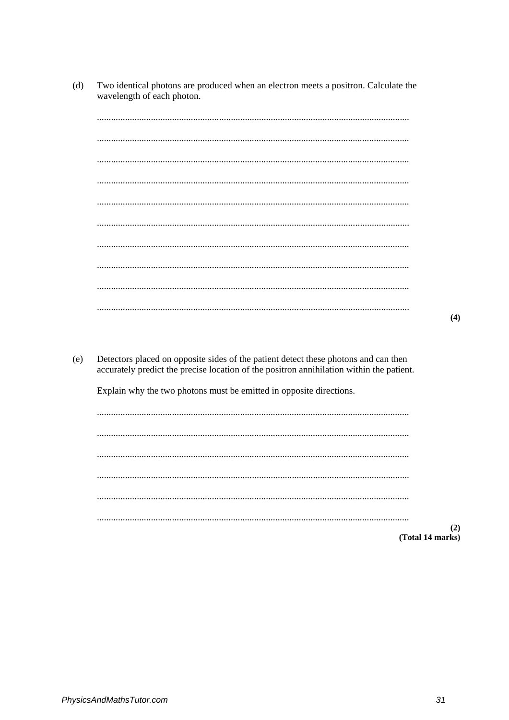Two identical photons are produced when an electron meets a positron. Calculate the wavelength of each photon.  $(d)$ 

|     |                                                                                                                                                                                 | (4) |
|-----|---------------------------------------------------------------------------------------------------------------------------------------------------------------------------------|-----|
|     |                                                                                                                                                                                 |     |
| (e) | Detectors placed on opposite sides of the patient detect these photons and can then<br>accurately predict the precise location of the positron annihilation within the patient. |     |
|     | Explain why the two photons must be emitted in opposite directions.                                                                                                             |     |
|     |                                                                                                                                                                                 |     |
|     |                                                                                                                                                                                 |     |
|     |                                                                                                                                                                                 |     |
|     |                                                                                                                                                                                 |     |
|     |                                                                                                                                                                                 |     |
|     |                                                                                                                                                                                 | (2) |
|     | (Total 14 marks)                                                                                                                                                                |     |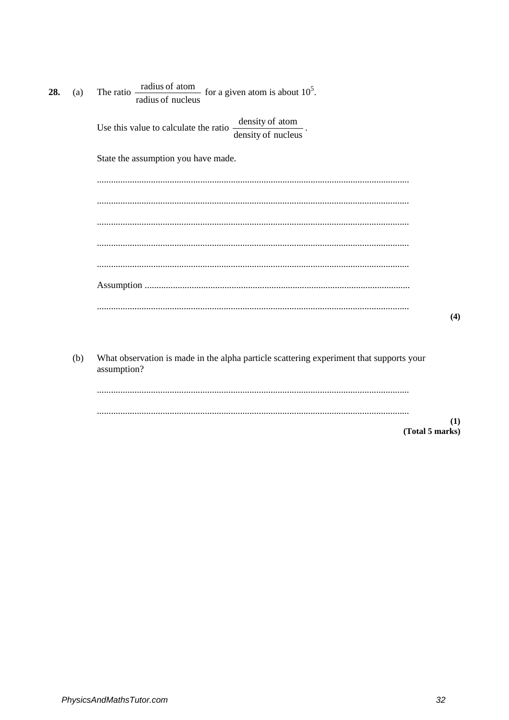| 28. | (a) | The ratio $\frac{\text{radius of atom}}{\text{max of the total}}$ for a given atom is about 10 <sup>5</sup> .<br>radius of nucleus |     |
|-----|-----|------------------------------------------------------------------------------------------------------------------------------------|-----|
|     |     | density of atom<br>Use this value to calculate the ratio -<br>density of nucleus $\cdot$                                           |     |
|     |     | State the assumption you have made.                                                                                                |     |
|     |     |                                                                                                                                    |     |
|     |     |                                                                                                                                    |     |
|     |     |                                                                                                                                    |     |
|     |     |                                                                                                                                    |     |
|     |     |                                                                                                                                    |     |
|     |     |                                                                                                                                    |     |
|     |     |                                                                                                                                    | (4) |
|     | (b) | What observation is made in the alpha particle scattering experiment that supports your<br>assumption?                             |     |
|     |     | (Total 5 marks)                                                                                                                    | (1) |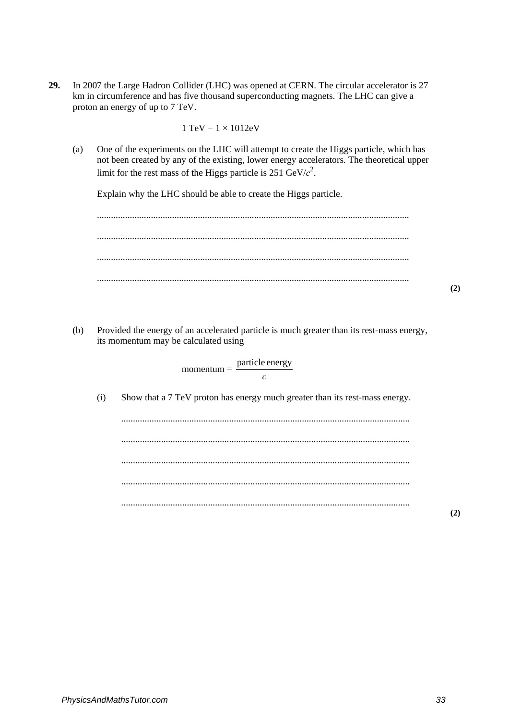**29.** In 2007 the Large Hadron Collider (LHC) was opened at CERN. The circular accelerator is 27 km in circumference and has five thousand superconducting magnets. The LHC can give a proton an energy of up to 7 TeV.

$$
1\ TeV = 1\times 1012 eV
$$

(a) One of the experiments on the LHC will attempt to create the Higgs particle, which has not been created by any of the existing, lower energy accelerators. The theoretical upper limit for the rest mass of the Higgs particle is  $251 \text{ GeV}/c^2$ .

Explain why the LHC should be able to create the Higgs particle.

..................................................................................................................................... ..................................................................................................................................... ..................................................................................................................................... .....................................................................................................................................

**(2)**

(b) Provided the energy of an accelerated particle is much greater than its rest-mass energy, its momentum may be calculated using

> $momentum =$ *c* particle energy

(i) Show that a 7 TeV proton has energy much greater than its rest-mass energy.

........................................................................................................................... ........................................................................................................................... ........................................................................................................................... ........................................................................................................................... ...........................................................................................................................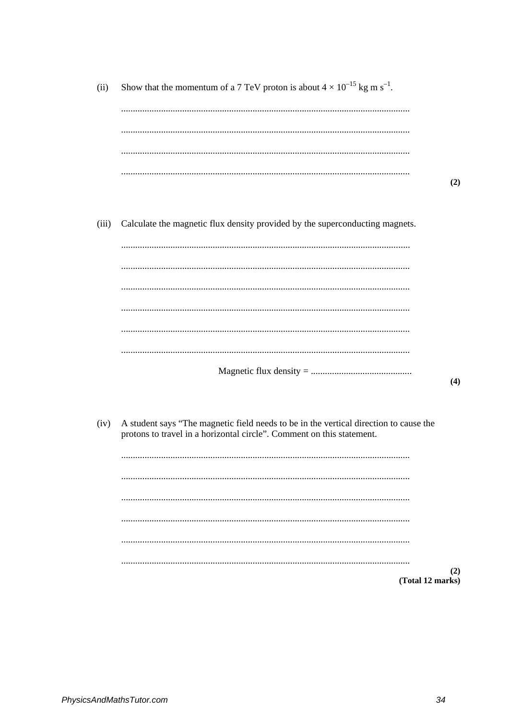| (ii)  | Show that the momentum of a 7 TeV proton is about $4 \times 10^{-15}$ kg m s <sup>-1</sup> .                                                                   |     |
|-------|----------------------------------------------------------------------------------------------------------------------------------------------------------------|-----|
|       |                                                                                                                                                                |     |
|       |                                                                                                                                                                |     |
|       |                                                                                                                                                                |     |
|       |                                                                                                                                                                |     |
|       |                                                                                                                                                                | (2) |
|       |                                                                                                                                                                |     |
| (iii) | Calculate the magnetic flux density provided by the superconducting magnets.                                                                                   |     |
|       |                                                                                                                                                                |     |
|       |                                                                                                                                                                |     |
|       |                                                                                                                                                                |     |
|       |                                                                                                                                                                |     |
|       |                                                                                                                                                                |     |
|       |                                                                                                                                                                |     |
|       |                                                                                                                                                                | (4) |
|       |                                                                                                                                                                |     |
| (iv)  | A student says "The magnetic field needs to be in the vertical direction to cause the<br>protons to travel in a horizontal circle". Comment on this statement. |     |
|       |                                                                                                                                                                |     |
|       |                                                                                                                                                                |     |
|       |                                                                                                                                                                |     |
|       |                                                                                                                                                                |     |
|       |                                                                                                                                                                |     |
|       |                                                                                                                                                                | (2) |
|       | (Total 12 marks)                                                                                                                                               |     |

PhysicsAndMathsTutor.com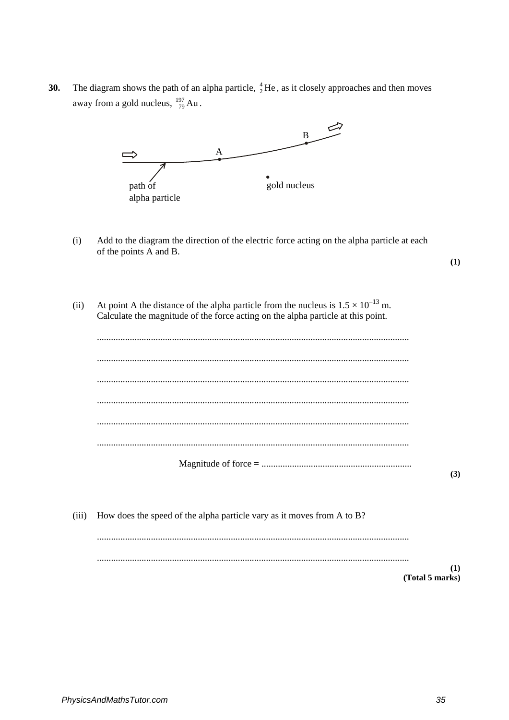The diagram shows the path of an alpha particle,  ${}^{4}_{2}$ He, as it closely approaches and then moves 30. away from a gold nucleus,  $\frac{197}{79}$  Au.



 $(i)$ Add to the diagram the direction of the electric force acting on the alpha particle at each of the points A and B.

 $(1)$ 

At point A the distance of the alpha particle from the nucleus is  $1.5 \times 10^{-13}$  m.  $(ii)$ Calculate the magnitude of the force acting on the alpha particle at this point.

 $(3)$ 

(iii) How does the speed of the alpha particle vary as it moves from A to B?  $(1)$ (Total 5 marks)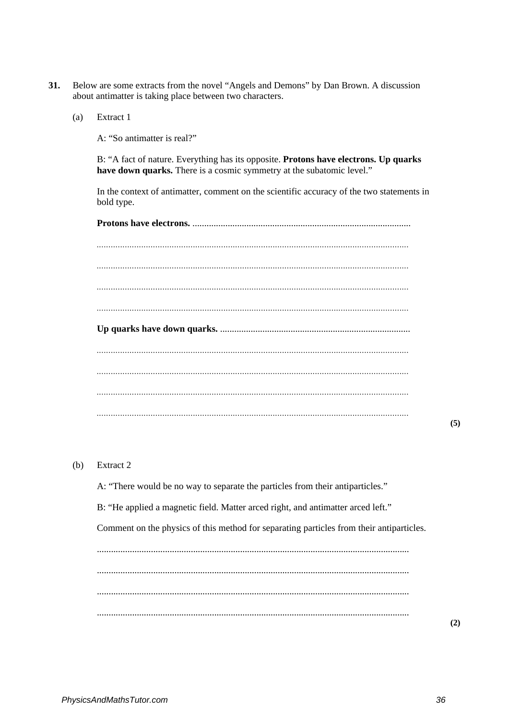- 31. Below are some extracts from the novel "Angels and Demons" by Dan Brown. A discussion about antimatter is taking place between two characters.
	- Extract 1  $(a)$

A: "So antimatter is real?"

B: "A fact of nature. Everything has its opposite. Protons have electrons. Up quarks have down quarks. There is a cosmic symmetry at the subatomic level."

In the context of antimatter, comment on the scientific accuracy of the two statements in bold type.

 $(5)$ 

 $(b)$ Extract 2

A: "There would be no way to separate the particles from their antiparticles."

B: "He applied a magnetic field. Matter arced right, and antimatter arced left."

Comment on the physics of this method for separating particles from their antiparticles.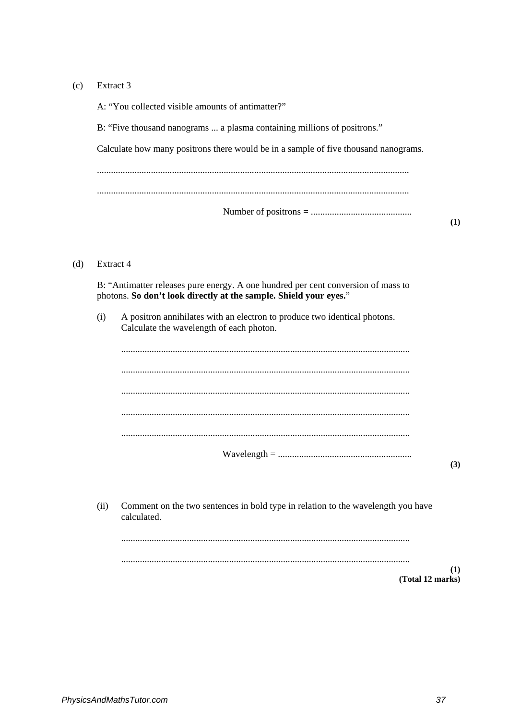## Extract 3  $(c)$

A: "You collected visible amounts of antimatter?" B: "Five thousand nanograms ... a plasma containing millions of positrons." Calculate how many positrons there would be in a sample of five thousand nanograms. 

 $(1)$ 

## Extract 4  $(d)$

B: "Antimatter releases pure energy. A one hundred per cent conversion of mass to photons. So don't look directly at the sample. Shield your eyes."

A positron annihilates with an electron to produce two identical photons.  $(i)$ Calculate the wavelength of each photon.

 $(3)$ 

 $(1)$ 

 $(ii)$ Comment on the two sentences in bold type in relation to the wavelength you have calculated

(Total 12 marks)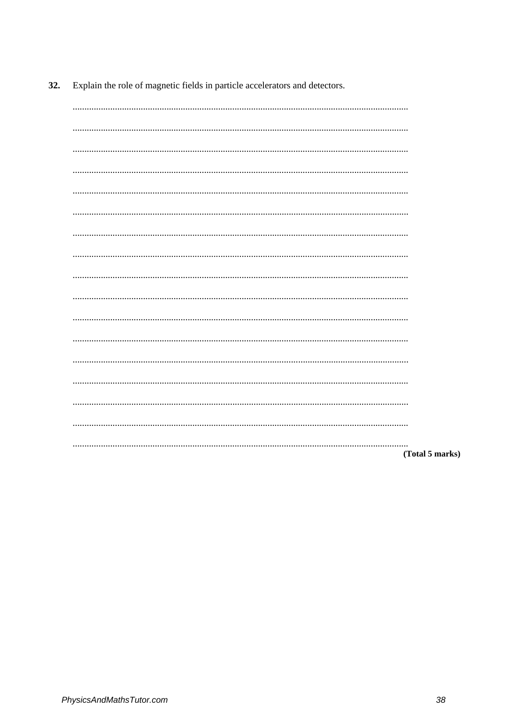|  | 32. |  |  |  |  |  |  | Explain the role of magnetic fields in particle accelerators and detectors. |
|--|-----|--|--|--|--|--|--|-----------------------------------------------------------------------------|
|--|-----|--|--|--|--|--|--|-----------------------------------------------------------------------------|

(Total 5 marks)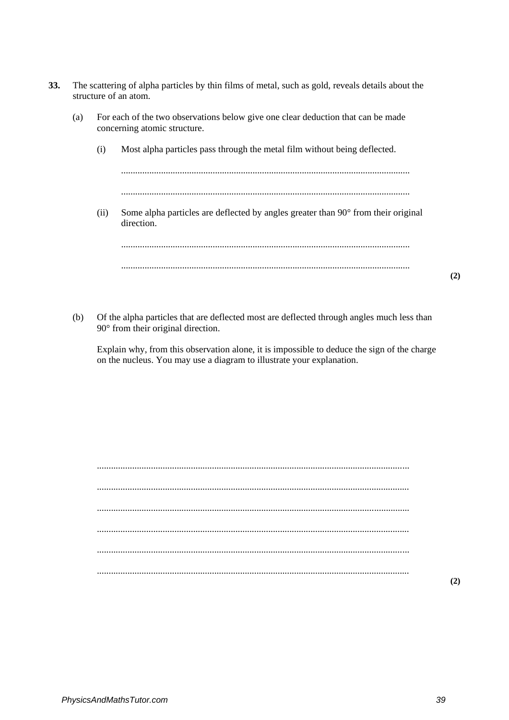- **33.** The scattering of alpha particles by thin films of metal, such as gold, reveals details about the structure of an atom.
	- (a) For each of the two observations below give one clear deduction that can be made concerning atomic structure.
		- (i) Most alpha particles pass through the metal film without being deflected.

........................................................................................................................... ...........................................................................................................................

(ii) Some alpha particles are deflected by angles greater than 90° from their original direction.

........................................................................................................................... ...........................................................................................................................

**(2)**

(b) Of the alpha particles that are deflected most are deflected through angles much less than 90° from their original direction.

Explain why, from this observation alone, it is impossible to deduce the sign of the charge on the nucleus. You may use a diagram to illustrate your explanation.

..................................................................................................................................... ..................................................................................................................................... ..................................................................................................................................... ..................................................................................................................................... ..................................................................................................................................... .....................................................................................................................................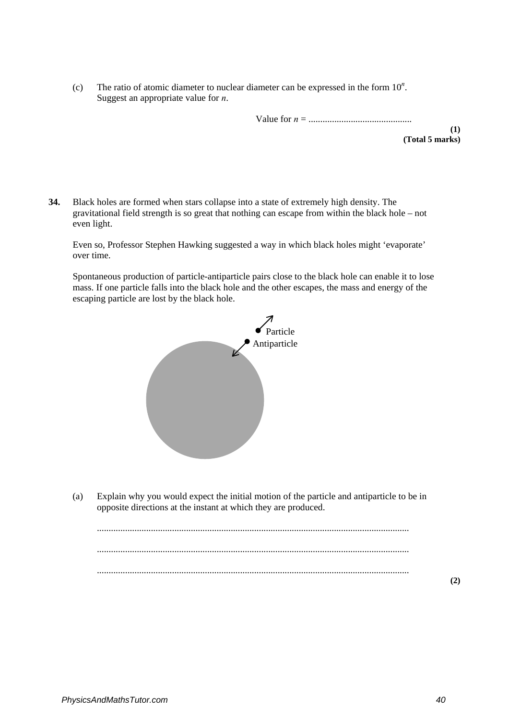(c) The ratio of atomic diameter to nuclear diameter can be expressed in the form  $10^n$ . Suggest an appropriate value for *n*.

Value for *n* = ............................................

**(1) (Total 5 marks)**

**34.** Black holes are formed when stars collapse into a state of extremely high density. The gravitational field strength is so great that nothing can escape from within the black hole – not even light.

Even so, Professor Stephen Hawking suggested a way in which black holes might 'evaporate' over time.

Spontaneous production of particle-antiparticle pairs close to the black hole can enable it to lose mass. If one particle falls into the black hole and the other escapes, the mass and energy of the escaping particle are lost by the black hole.



(a) Explain why you would expect the initial motion of the particle and antiparticle to be in opposite directions at the instant at which they are produced.

..................................................................................................................................... ..................................................................................................................................... .....................................................................................................................................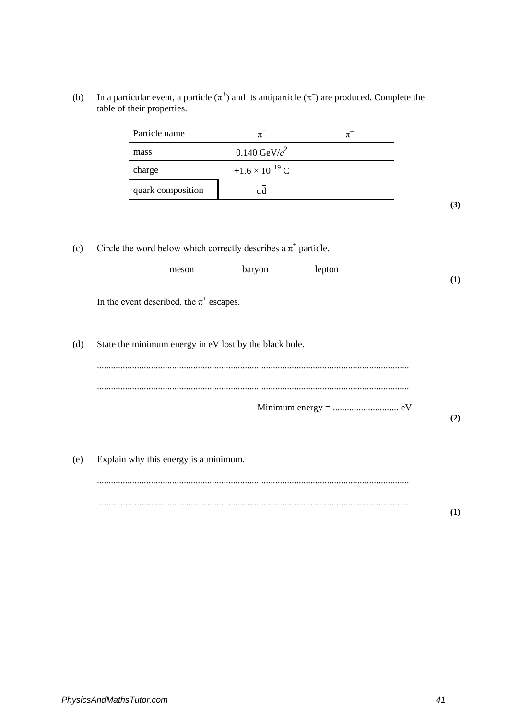(b) In a particular event, a particle  $(\pi^+)$  and its antiparticle  $(\pi^-)$  are produced. Complete the table of their properties.

| Particle name     |                                   |  |
|-------------------|-----------------------------------|--|
| mass              | 0.140 GeV/ $c^2$                  |  |
| charge            | +1.6 $\times$ 10 <sup>-19</sup> C |  |
| quark composition | ud                                |  |

**(3)**

(c) Circle the word below which correctly describes a  $\pi^+$  particle.

| meson                                        | baryon | lepton | (1) |
|----------------------------------------------|--------|--------|-----|
| In the event described, the $\pi^+$ escapes. |        |        |     |

(d) State the minimum energy in eV lost by the black hole.

(e) Explain why this energy is a minimum.

..................................................................................................................................... .....................................................................................................................................

**(1)**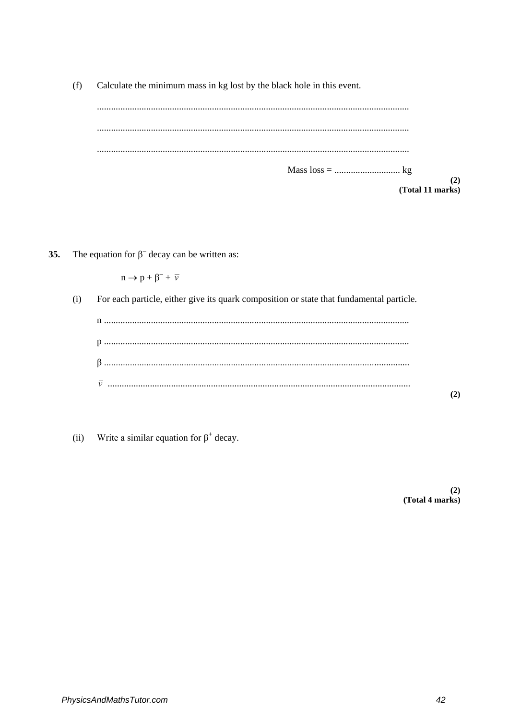$(f)$ Calculate the minimum mass in kg lost by the black hole in this event.

 $(2)$ (Total 11 marks)

35. The equation for  $\beta^-$  decay can be written as:

 $n \rightarrow p + \beta^- + \overline{\nu}$ 

 $(i)$ For each particle, either give its quark composition or state that fundamental particle.

Write a similar equation for  $\beta^+$  decay.

 $(ii)$ 

 $(2)$ (Total 4 marks)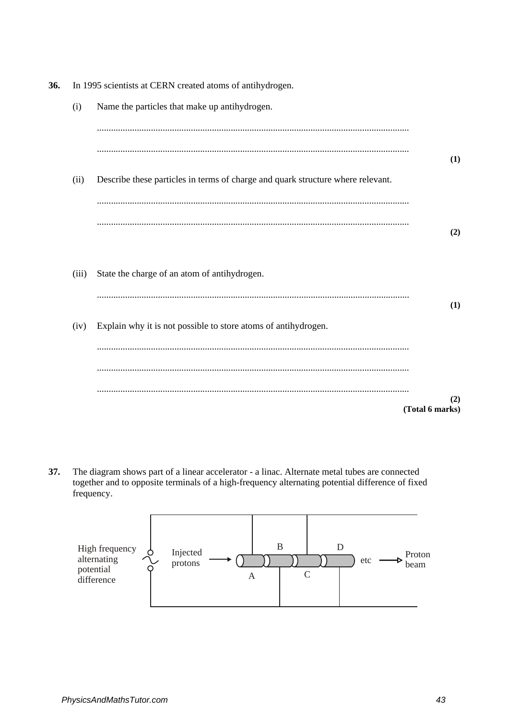|                 | In 1995 scientists at CERN created atoms of antihydrogen.                       | 36.   |  |  |
|-----------------|---------------------------------------------------------------------------------|-------|--|--|
|                 | Name the particles that make up antihydrogen.                                   | (i)   |  |  |
|                 |                                                                                 |       |  |  |
| (1)             |                                                                                 |       |  |  |
|                 | Describe these particles in terms of charge and quark structure where relevant. | (ii)  |  |  |
|                 |                                                                                 |       |  |  |
| (2)             |                                                                                 |       |  |  |
|                 | State the charge of an atom of antihydrogen.                                    | (iii) |  |  |
|                 |                                                                                 |       |  |  |
| (1)             | Explain why it is not possible to store atoms of antihydrogen.                  | (iv)  |  |  |
|                 |                                                                                 |       |  |  |
|                 |                                                                                 |       |  |  |
| (2)             |                                                                                 |       |  |  |
| (Total 6 marks) |                                                                                 |       |  |  |

**37.** The diagram shows part of a linear accelerator - a linac. Alternate metal tubes are connected together and to opposite terminals of a high-frequency alternating potential difference of fixed frequency.

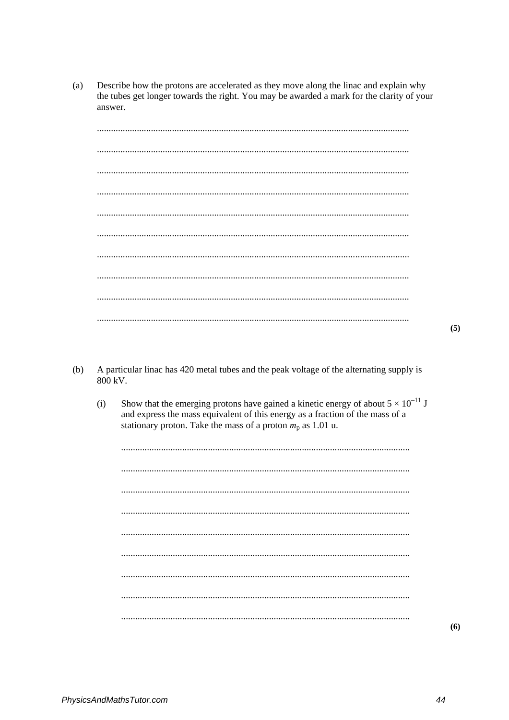Describe how the protons are accelerated as they move along the linac and explain why  $(a)$ the tubes get longer towards the right. You may be awarded a mark for the clarity of your answer.

 $(5)$ 

- A particular linac has 420 metal tubes and the peak voltage of the alternating supply is  $(b)$ 800 kV.
	- Show that the emerging protons have gained a kinetic energy of about  $5 \times 10^{-11}$  J  $(i)$ and express the mass equivalent of this energy as a fraction of the mass of a stationary proton. Take the mass of a proton  $m_p$  as 1.01 u.

 $(6)$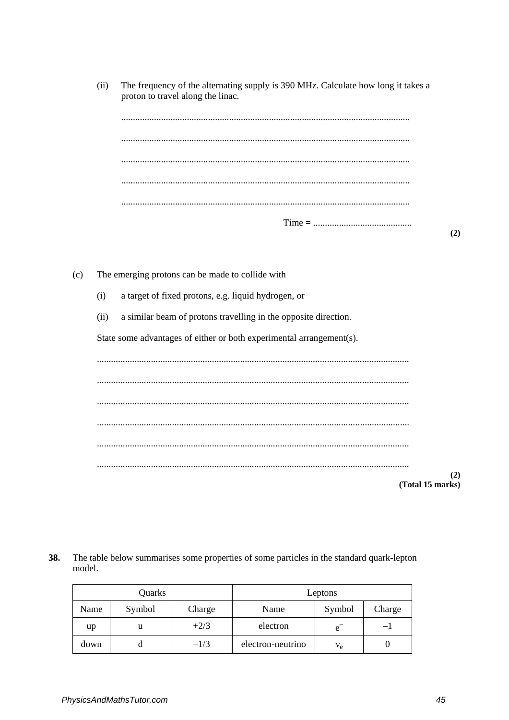The frequency of the alternating supply is 390 MHz. Calculate how long it takes a  $(ii)$ proton to travel along the linac.

 $(2)$ 

The emerging protons can be made to collide with  $(c)$ 

> $(i)$ a target of fixed protons, e.g. liquid hydrogen, or

a similar beam of protons travelling in the opposite direction.  $(ii)$ 

State some advantages of either or both experimental arrangement(s).

 $(2)$ (Total 15 marks)

|      | Quarks |        |                   | Leptons     |        |
|------|--------|--------|-------------------|-------------|--------|
| Name | Symbol | Charge | Name              | Symbol      | Charge |
| up   | u      | $+2/3$ | electron          | e           | $-1$   |
| down |        | $-1/3$ | electron-neutrino | $v_{\rm e}$ |        |

38. The table below summarises some properties of some particles in the standard quark-lepton model.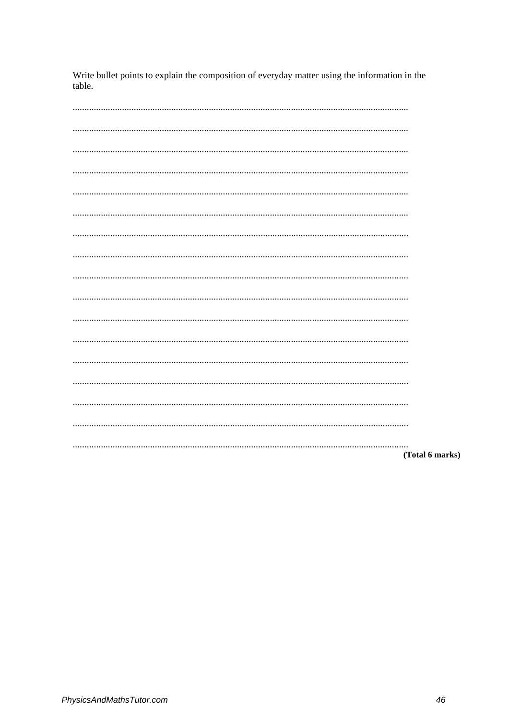| Write bullet points to explain the composition of everyday matter using the information in the |  |
|------------------------------------------------------------------------------------------------|--|
| table.                                                                                         |  |

| (Total 6 marks) |
|-----------------|
|                 |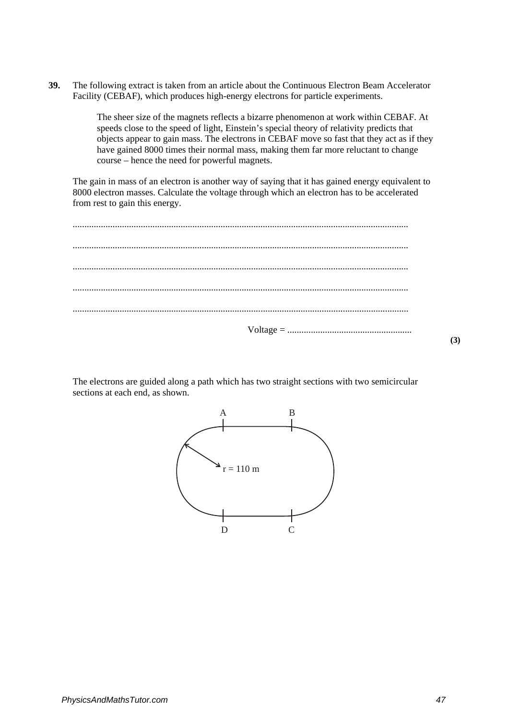**39.** The following extract is taken from an article about the Continuous Electron Beam Accelerator Facility (CEBAF), which produces high-energy electrons for particle experiments.

> The sheer size of the magnets reflects a bizarre phenomenon at work within CEBAF. At speeds close to the speed of light, Einstein's special theory of relativity predicts that objects appear to gain mass. The electrons in CEBAF move so fast that they act as if they have gained 8000 times their normal mass, making them far more reluctant to change course – hence the need for powerful magnets.

The gain in mass of an electron is another way of saying that it has gained energy equivalent to 8000 electron masses. Calculate the voltage through which an electron has to be accelerated from rest to gain this energy.

The electrons are guided along a path which has two straight sections with two semicircular sections at each end, as shown.



**(3)**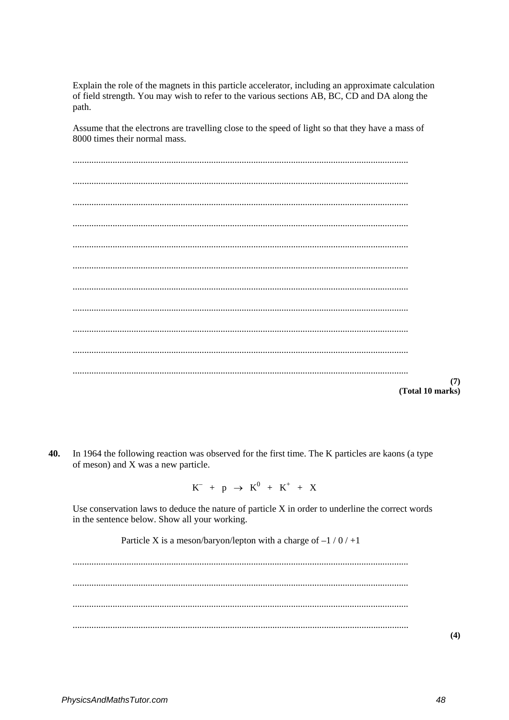Explain the role of the magnets in this particle accelerator, including an approximate calculation of field strength. You may wish to refer to the various sections AB, BC, CD and DA along the path.

Assume that the electrons are travelling close to the speed of light so that they have a mass of 8000 times their normal mass.

(Total 10 marks)

40. In 1964 the following reaction was observed for the first time. The K particles are kaons (a type of meson) and  $X$  was a new particle.

 $K^-$  + p  $\rightarrow$   $K^0$  +  $K^+$  + X

Use conservation laws to deduce the nature of particle X in order to underline the correct words in the sentence below. Show all your working.

Particle X is a meson/baryon/lepton with a charge of  $-1/0/11$ 

 $(4)$ 

 $(7)$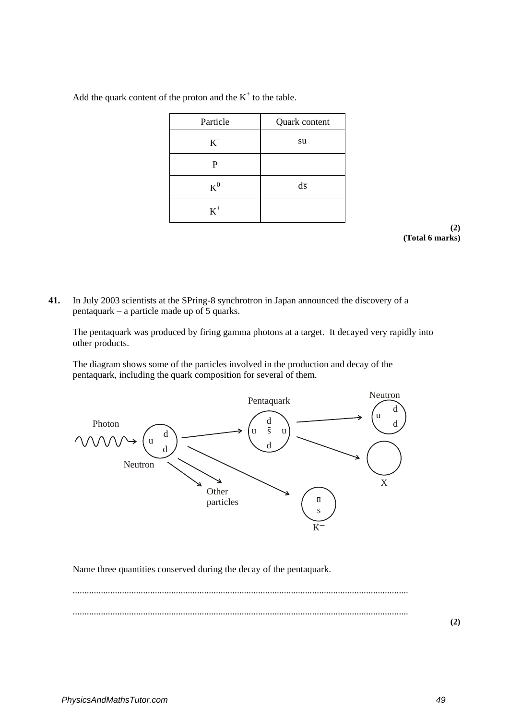## Add the quark content of the proton and the  $K^+$  to the table.

| Particle  | Quark content   |
|-----------|-----------------|
| $K^-$     | su              |
| P         |                 |
| $K^0$     | $d\overline{s}$ |
| $\rm K^+$ |                 |

**(2) (Total 6 marks)**

**41.** In July 2003 scientists at the SPring-8 synchrotron in Japan announced the discovery of a pentaquark – a particle made up of 5 quarks.

The pentaquark was produced by firing gamma photons at a target. It decayed very rapidly into other products.

The diagram shows some of the particles involved in the production and decay of the pentaquark, including the quark composition for several of them.



Name three quantities conserved during the decay of the pentaquark.

............................................................................................................................................... ...............................................................................................................................................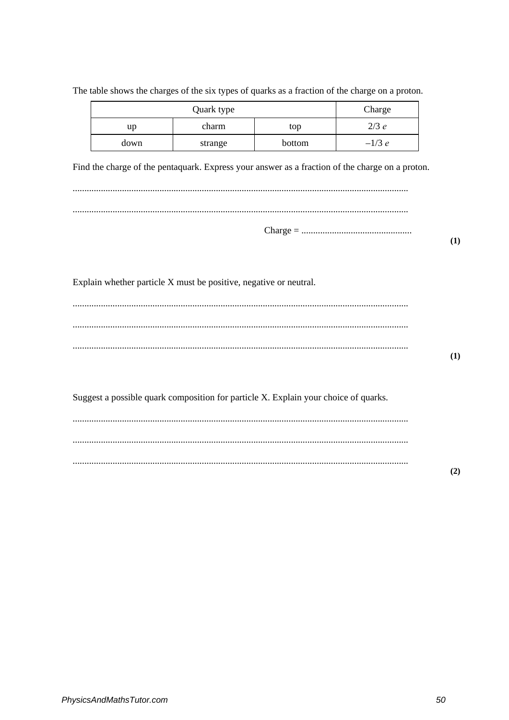|      | Charge  |        |          |
|------|---------|--------|----------|
| up   | $2/3$ e |        |          |
| down | strange | bottom | $-1/3$ e |

The table shows the charges of the six types of quarks as a fraction of the charge on a proton.

Find the charge of the pentaquark. Express your answer as a fraction of the charge on a proton.

 $(1)$ 

 $(2)$ 

Explain whether particle X must be positive, negative or neutral.

Suggest a possible quark composition for particle X. Explain your choice of quarks.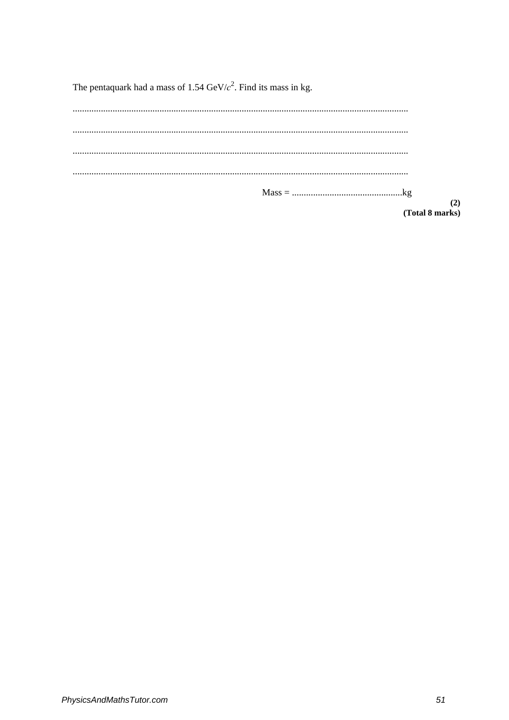The pentaquark had a mass of 1.54 GeV/ $c^2$ . Find its mass in kg.

| (2)             |
|-----------------|
| (Total 8 marks) |
|                 |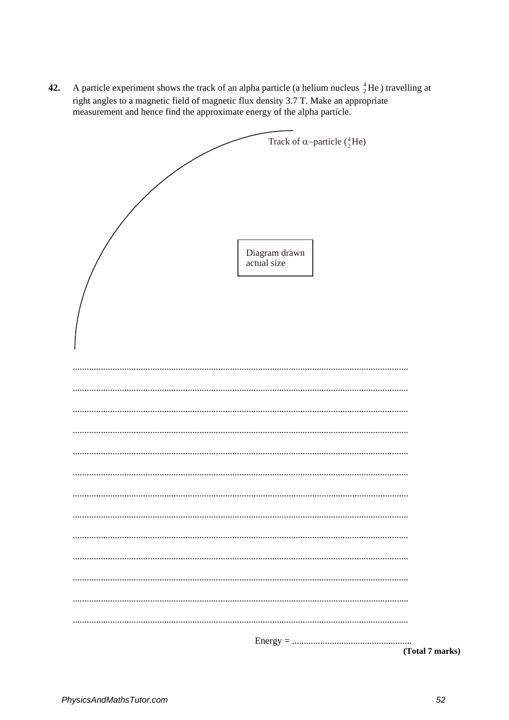A particle experiment shows the track of an alpha particle (a helium nucleus  ${}^{4}_{2}$  He) travelling at 42. right angles to a magnetic field of magnetic flux density 3.7 T. Make an appropriate measurement and hence find the approximate energy of the alpha particle.

| Track of $\alpha$ -particle ( ${}^{4}_{2}$ He) |
|------------------------------------------------|
|                                                |
|                                                |
|                                                |
|                                                |
|                                                |
|                                                |
|                                                |
|                                                |
|                                                |
|                                                |
|                                                |
| Diagram drawn                                  |
| actual size                                    |
|                                                |
|                                                |
|                                                |
|                                                |
|                                                |
|                                                |
|                                                |
|                                                |
|                                                |
|                                                |
|                                                |
|                                                |
|                                                |
|                                                |
|                                                |
|                                                |
|                                                |
|                                                |
|                                                |
|                                                |
|                                                |
|                                                |
|                                                |
|                                                |
|                                                |
|                                                |
|                                                |
|                                                |
|                                                |
|                                                |
|                                                |
|                                                |
|                                                |
|                                                |
|                                                |
|                                                |
|                                                |
|                                                |
|                                                |
|                                                |
|                                                |
|                                                |
|                                                |
|                                                |
|                                                |
|                                                |
|                                                |
|                                                |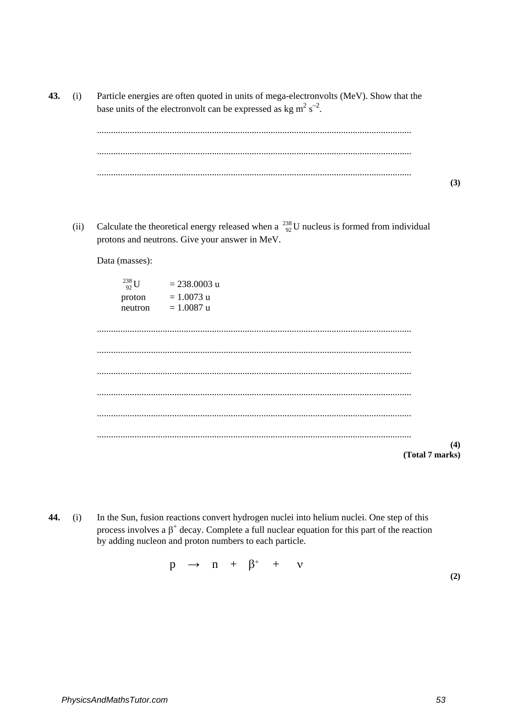43.  $(i)$ Particle energies are often quoted in units of mega-electronvolts (MeV). Show that the base units of the electron volt can be expressed as kg m<sup>2</sup> s<sup>-2</sup>.

Calculate the theoretical energy released when a  $^{238}_{92}$ U nucleus is formed from individual  $(ii)$ protons and neutrons. Give your answer in MeV.

Data (masses):

| $^{238}_{92}$ U | $= 238.0003$ u |
|-----------------|----------------|
| proton          | $= 1.0073$ u   |
| neutron         | $= 1.0087$ u   |

 $(4)$ (Total 7 marks)

44. In the Sun, fusion reactions convert hydrogen nuclei into helium nuclei. One step of this  $(i)$ process involves a  $\beta^+$  decay. Complete a full nuclear equation for this part of the reaction by adding nucleon and proton numbers to each particle.

$$
p \rightarrow n + \beta^+ + \nu
$$

 $(2)$ 

 $(3)$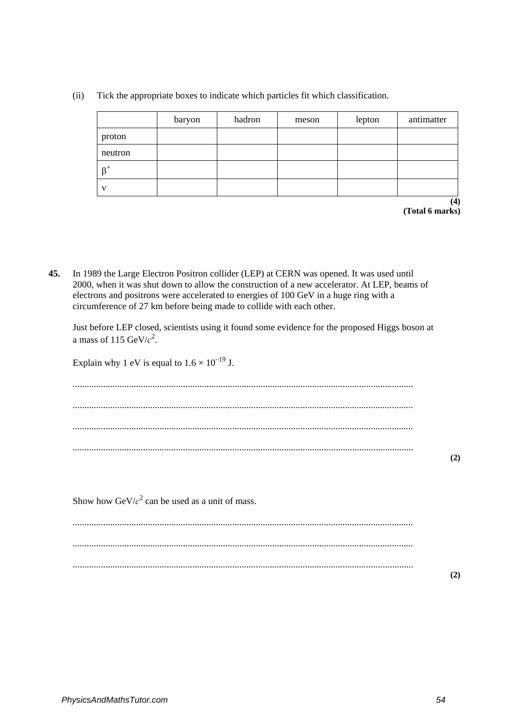|  |  |  |  | (ii) Tick the appropriate boxes to indicate which particles fit which classification. |
|--|--|--|--|---------------------------------------------------------------------------------------|
|  |  |  |  |                                                                                       |
|  |  |  |  |                                                                                       |
|  |  |  |  |                                                                                       |

|         | baryon | hadron | meson | lepton | antimatter |
|---------|--------|--------|-------|--------|------------|
| proton  |        |        |       |        |            |
| neutron |        |        |       |        |            |
|         |        |        |       |        |            |
|         |        |        |       |        |            |

**(4) (Total 6 marks)**

**45.** In 1989 the Large Electron Positron collider (LEP) at CERN was opened. It was used until 2000, when it was shut down to allow the construction of a new accelerator. At LEP, beams of electrons and positrons were accelerated to energies of 100 GeV in a huge ring with a circumference of 27 km before being made to collide with each other.

Just before LEP closed, scientists using it found some evidence for the proposed Higgs boson at a mass of  $115 \text{ GeV}/c^2$ .

Explain why 1 eV is equal to  $1.6 \times 10^{-19}$  J.

................................................................................................................................................. ................................................................................................................................................. ................................................................................................................................................. .................................................................................................................................................

**(2)**

**(2)**

Show how  $GeV/c^2$  can be used as a unit of mass.

................................................................................................................................................. ................................................................................................................................................. .................................................................................................................................................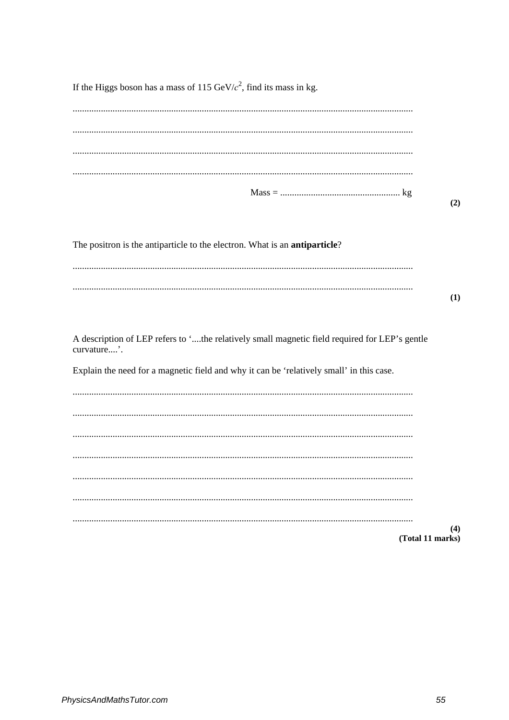If the Higgs boson has a mass of 115 GeV/ $c^2$ , find its mass in kg.

|                                                                                                              | (2) |
|--------------------------------------------------------------------------------------------------------------|-----|
|                                                                                                              |     |
| The positron is the antiparticle to the electron. What is an antiparticle?                                   |     |
|                                                                                                              |     |
|                                                                                                              | (1) |
|                                                                                                              |     |
| A description of LEP refers to 'the relatively small magnetic field required for LEP's gentle<br>curvature'. |     |
| Explain the need for a magnetic field and why it can be 'relatively small' in this case.                     |     |
|                                                                                                              |     |
|                                                                                                              |     |
|                                                                                                              |     |
|                                                                                                              |     |

 $(4)$ 

(Total 11 marks)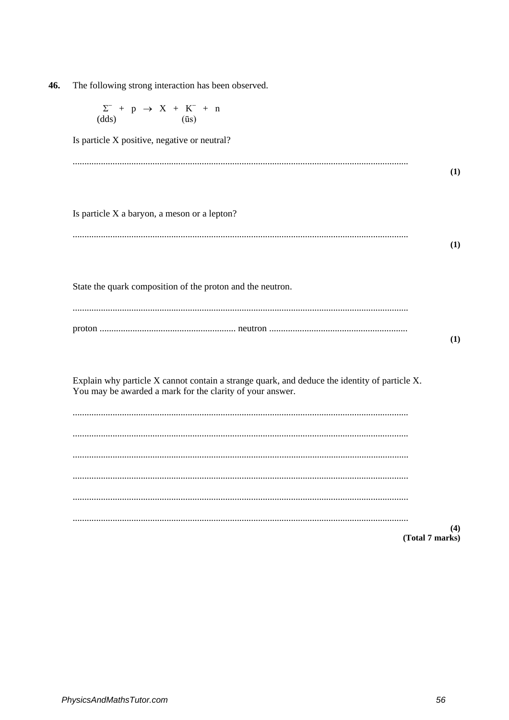46. The following strong interaction has been observed.  $\Sigma^- + p \rightarrow X + K^- + n$  $(dds)$  $(\bar{u}s)$ Is particle X positive, negative or neutral?  $(1)$ Is particle X a baryon, a meson or a lepton?  $(1)$ State the quark composition of the proton and the neutron.  $(1)$ Explain why particle X cannot contain a strange quark, and deduce the identity of particle X. You may be awarded a mark for the clarity of your answer.  $(4)$ (Total 7 marks)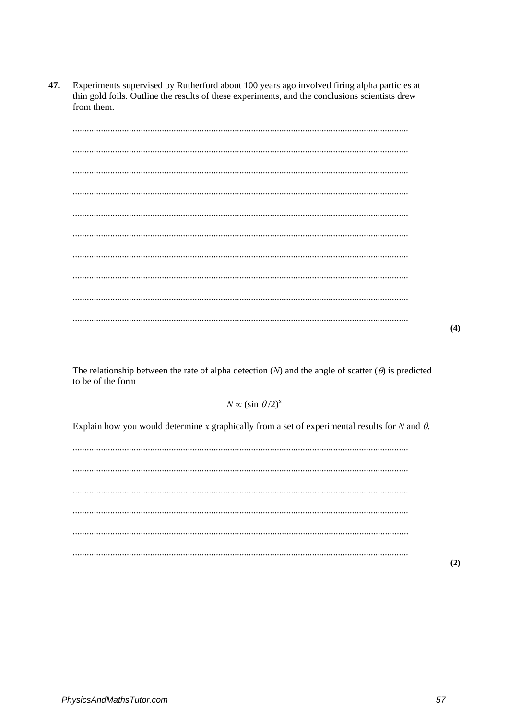47. Experiments supervised by Rutherford about 100 years ago involved firing alpha particles at thin gold foils. Outline the results of these experiments, and the conclusions scientists drew from them.

 $(4)$ 

The relationship between the rate of alpha detection (N) and the angle of scatter ( $\theta$ ) is predicted to be of the form

 $N \propto (\sin \theta / 2)^{x}$ 

Explain how you would determine x graphically from a set of experimental results for N and  $\theta$ .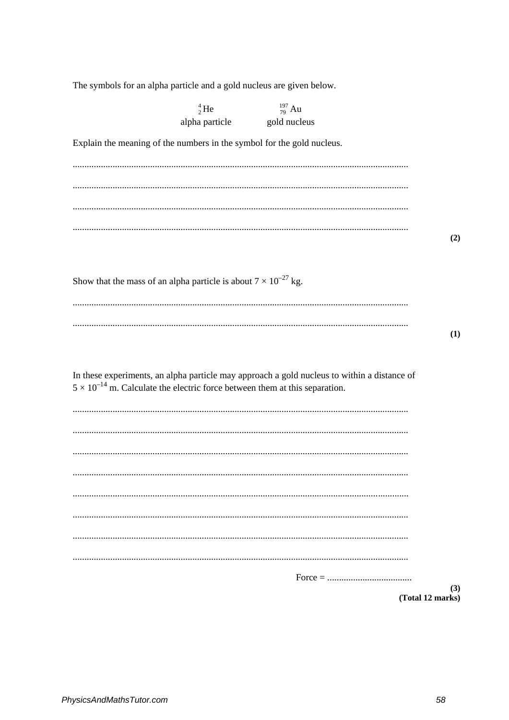The symbols for an alpha particle and a gold nucleus are given below.

|                                                                                      | $^{4}_{2}$ He<br>alpha particle | $^{197}_{79}$ Au<br>gold nucleus                                                            |                         |
|--------------------------------------------------------------------------------------|---------------------------------|---------------------------------------------------------------------------------------------|-------------------------|
| Explain the meaning of the numbers in the symbol for the gold nucleus.               |                                 |                                                                                             |                         |
|                                                                                      |                                 |                                                                                             |                         |
|                                                                                      |                                 |                                                                                             |                         |
|                                                                                      |                                 |                                                                                             |                         |
|                                                                                      |                                 |                                                                                             |                         |
|                                                                                      |                                 |                                                                                             | (2)                     |
| Show that the mass of an alpha particle is about $7 \times 10^{-27}$ kg.             |                                 |                                                                                             |                         |
|                                                                                      |                                 |                                                                                             |                         |
|                                                                                      |                                 |                                                                                             |                         |
|                                                                                      |                                 |                                                                                             | (1)                     |
|                                                                                      |                                 |                                                                                             |                         |
| $5 \times 10^{-14}$ m. Calculate the electric force between them at this separation. |                                 | In these experiments, an alpha particle may approach a gold nucleus to within a distance of |                         |
|                                                                                      |                                 |                                                                                             |                         |
|                                                                                      |                                 |                                                                                             |                         |
|                                                                                      |                                 |                                                                                             |                         |
|                                                                                      |                                 |                                                                                             |                         |
|                                                                                      |                                 |                                                                                             |                         |
|                                                                                      |                                 |                                                                                             |                         |
|                                                                                      |                                 |                                                                                             |                         |
|                                                                                      |                                 |                                                                                             |                         |
|                                                                                      |                                 |                                                                                             | (3)<br>(Total 12 marks) |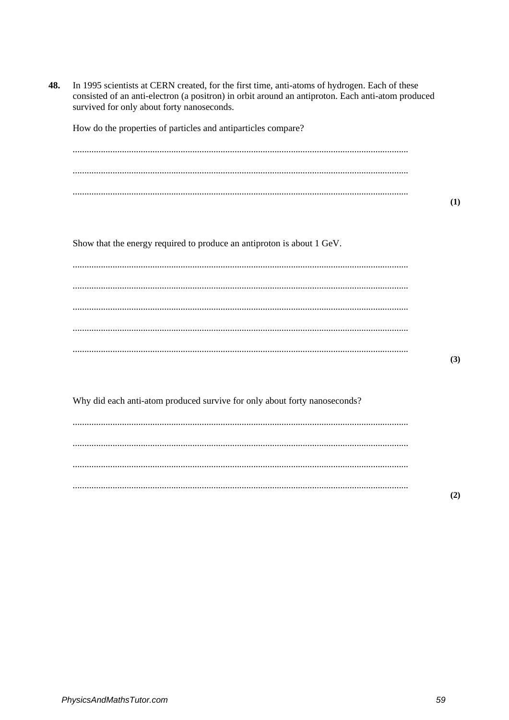| 48. | In 1995 scientists at CERN created, for the first time, anti-atoms of hydrogen. Each of these<br>consisted of an anti-electron (a positron) in orbit around an antiproton. Each anti-atom produced<br>survived for only about forty nanoseconds. |  |
|-----|--------------------------------------------------------------------------------------------------------------------------------------------------------------------------------------------------------------------------------------------------|--|
|     | How do the properties of particles and antiparticles compare?                                                                                                                                                                                    |  |
|     |                                                                                                                                                                                                                                                  |  |
|     |                                                                                                                                                                                                                                                  |  |
|     |                                                                                                                                                                                                                                                  |  |
|     |                                                                                                                                                                                                                                                  |  |
|     | Show that the energy required to produce an antiproton is about 1 GeV.                                                                                                                                                                           |  |
|     |                                                                                                                                                                                                                                                  |  |
|     |                                                                                                                                                                                                                                                  |  |
|     |                                                                                                                                                                                                                                                  |  |
|     |                                                                                                                                                                                                                                                  |  |
|     |                                                                                                                                                                                                                                                  |  |
|     |                                                                                                                                                                                                                                                  |  |
|     | Why did each anti-atom produced survive for only about forty nanoseconds?                                                                                                                                                                        |  |
|     |                                                                                                                                                                                                                                                  |  |
|     |                                                                                                                                                                                                                                                  |  |
|     |                                                                                                                                                                                                                                                  |  |
|     |                                                                                                                                                                                                                                                  |  |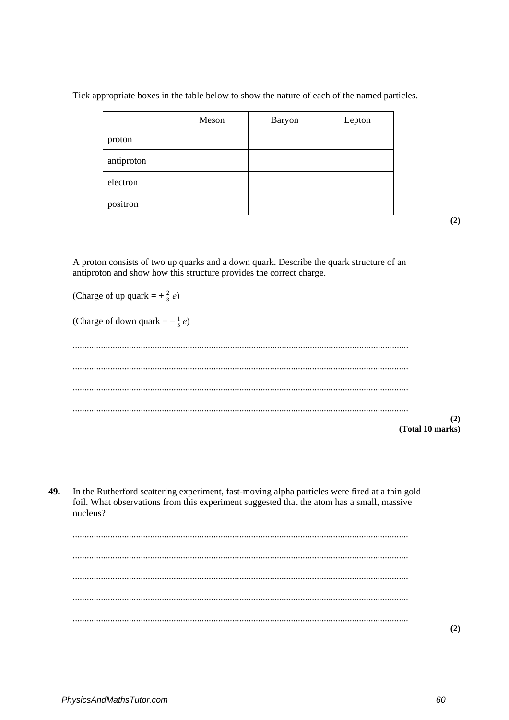Tick appropriate boxes in the table below to show the nature of each of the named particles.

|            | Meson | <b>Baryon</b> | Lepton |
|------------|-------|---------------|--------|
| proton     |       |               |        |
| antiproton |       |               |        |
| electron   |       |               |        |
| positron   |       |               |        |

 $(2)$ 

A proton consists of two up quarks and a down quark. Describe the quark structure of an antiproton and show how this structure provides the correct charge.

(Charge of up quark =  $+\frac{2}{3}e$ ) (Charge of down quark  $=-\frac{1}{3}e$ )  $(2)$ (Total 10 marks) In the Rutherford scattering experiment, fast-moving alpha particles were fired at a thin gold foil. What observations from this experiment suggested that the atom has a small, massive nucleus? 

49.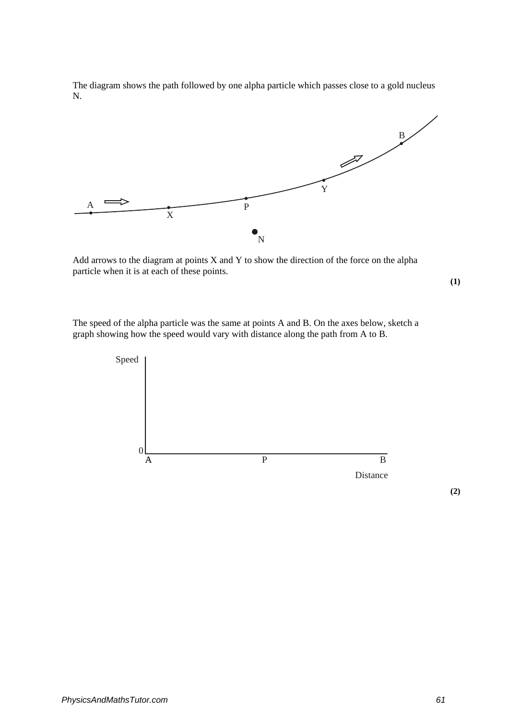The diagram shows the path followed by one alpha particle which passes close to a gold nucleus N.



Add arrows to the diagram at points X and Y to show the direction of the force on the alpha particle when it is at each of these points.

**(1)**

The speed of the alpha particle was the same at points A and B. On the axes below, sketch a graph showing how the speed would vary with distance along the path from A to B.

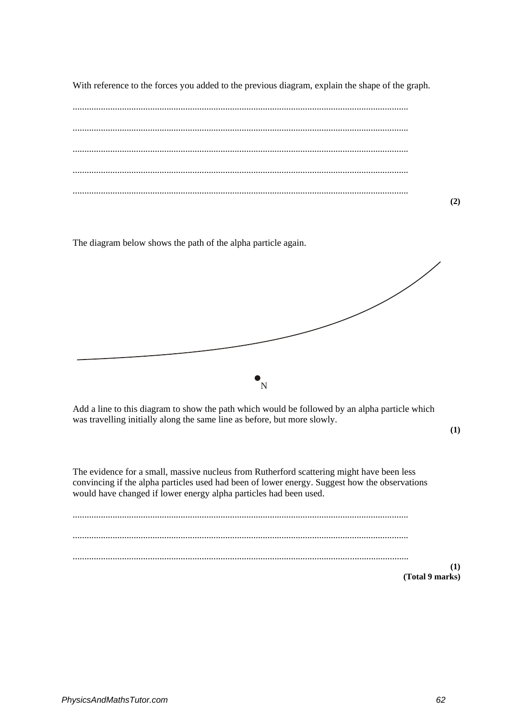With reference to the forces you added to the previous diagram, explain the shape of the graph.

The diagram below shows the path of the alpha particle again.

Add a line to this diagram to show the path which would be followed by an alpha particle which was travelling initially along the same line as before, but more slowly.

 $\mathbf{N}$ 

**(1)**

**(2)**

The evidence for a small, massive nucleus from Rutherford scattering might have been less convincing if the alpha particles used had been of lower energy. Suggest how the observations would have changed if lower energy alpha particles had been used.

............................................................................................................................................... ............................................................................................................................................... ............................................................................................................................................... **(1) (Total 9 marks)**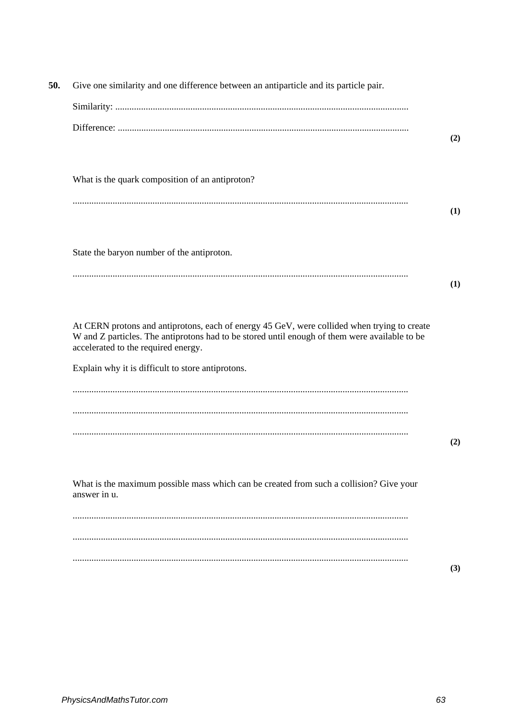| Give one similarity and one difference between an antiparticle and its particle pair.                                                                                                                                               |
|-------------------------------------------------------------------------------------------------------------------------------------------------------------------------------------------------------------------------------------|
|                                                                                                                                                                                                                                     |
|                                                                                                                                                                                                                                     |
| What is the quark composition of an antiproton?                                                                                                                                                                                     |
|                                                                                                                                                                                                                                     |
| State the baryon number of the antiproton.                                                                                                                                                                                          |
|                                                                                                                                                                                                                                     |
| At CERN protons and antiprotons, each of energy 45 GeV, were collided when trying to create<br>W and Z particles. The antiprotons had to be stored until enough of them were available to be<br>accelerated to the required energy. |
| Explain why it is difficult to store antiprotons.                                                                                                                                                                                   |
|                                                                                                                                                                                                                                     |
|                                                                                                                                                                                                                                     |
| What is the maximum possible mass which can be created from such a collision? Give your<br>answer in u.                                                                                                                             |
|                                                                                                                                                                                                                                     |
|                                                                                                                                                                                                                                     |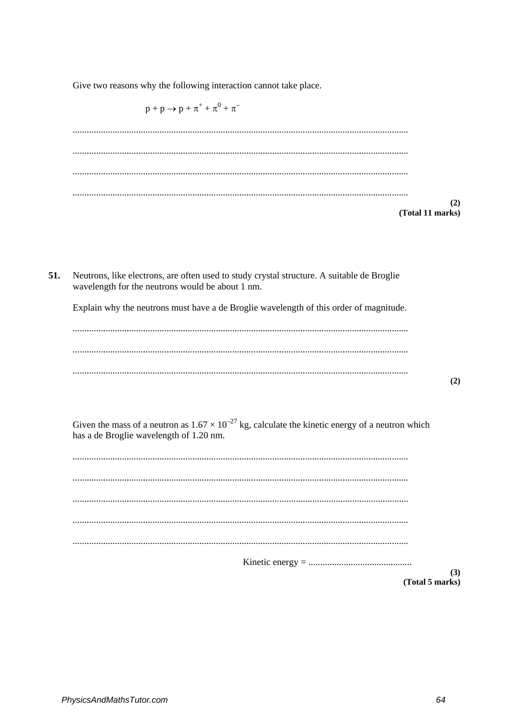Give two reasons why the following interaction cannot take place.

 $p + p \rightarrow p + \pi^{+} + \pi^{0} + \pi^{-}$  $(2)$ (Total 11 marks)

51. Neutrons, like electrons, are often used to study crystal structure. A suitable de Broglie wavelength for the neutrons would be about 1 nm.

Explain why the neutrons must have a de Broglie wavelength of this order of magnitude.

 $(2)$ 

Given the mass of a neutron as  $1.67 \times 10^{-27}$  kg, calculate the kinetic energy of a neutron which has a de Broglie wavelength of 1.20 nm.

 $(3)$ (Total 5 marks)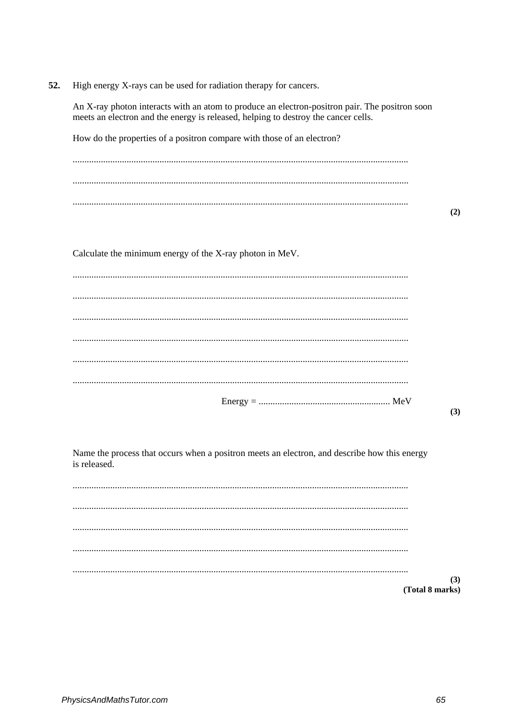$52.$ High energy X-rays can be used for radiation therapy for cancers.

An X-ray photon interacts with an atom to produce an electron-positron pair. The positron soon meets an electron and the energy is released, helping to destroy the cancer cells.

How do the properties of a positron compare with those of an electron?

 $(2)$ 

Calculate the minimum energy of the X-ray photon in MeV.

 $(3)$ 

Name the process that occurs when a positron meets an electron, and describe how this energy is released.

 $(3)$ (Total 8 marks)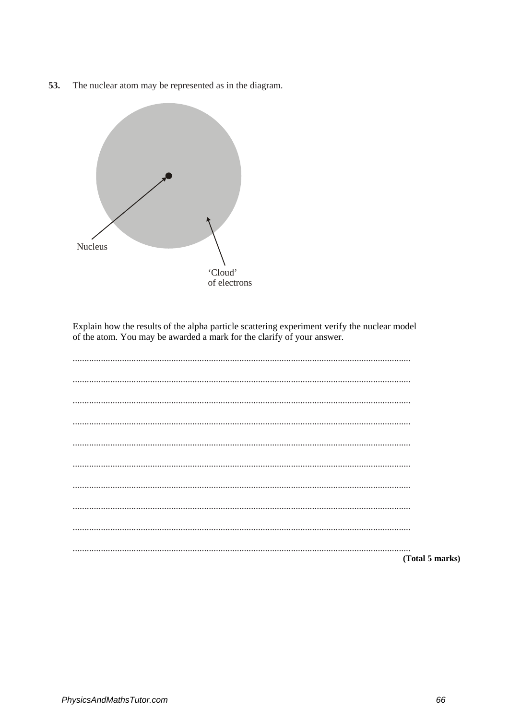The nuclear atom may be represented as in the diagram. 53.



Explain how the results of the alpha particle scattering experiment verify the nuclear model of the atom. You may be awarded a mark for the clarify of your answer.

| (Total 5 marks) |
|-----------------|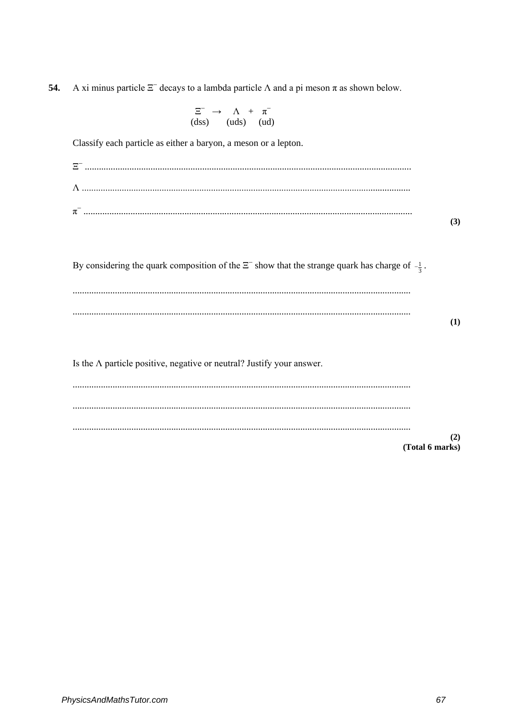A xi minus particle  $\Xi^-$  decays to a lambda particle  $\Lambda$  and a pi meson  $\pi$  as shown below. 54.

$$
\Xi^- \to \Lambda + \pi^-
$$
  
(dss) (uds) (ud)

Classify each particle as either a baryon, a meson or a lepton.

 $(3)$ 

| By considering the quark composition of the $\Xi^-$ show that the strange quark has charge of $-\frac{1}{2}$ . |     |
|----------------------------------------------------------------------------------------------------------------|-----|
|                                                                                                                |     |
|                                                                                                                |     |
|                                                                                                                | (1) |
|                                                                                                                |     |
| Is the $\Lambda$ particle positive, negative or neutral? Justify your answer.                                  |     |

 $(2)$ (Total 6 marks)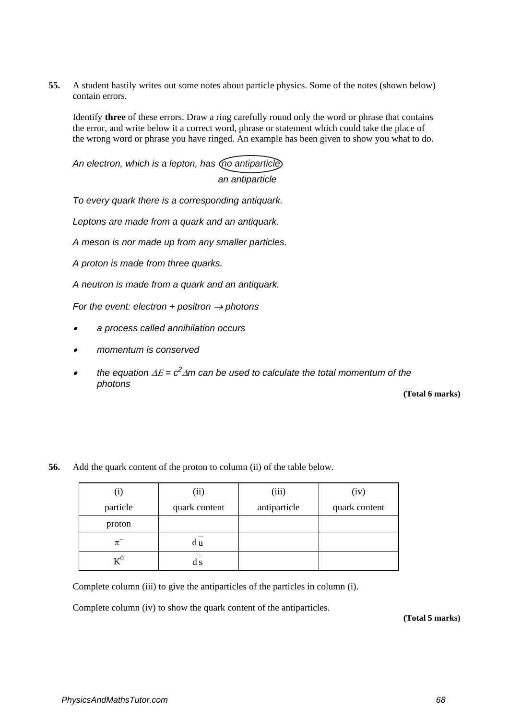**55.** A student hastily writes out some notes about particle physics. Some of the notes (shown below) contain errors.

Identify **three** of these errors. Draw a ring carefully round only the word or phrase that contains the error, and write below it a correct word, phrase or statement which could take the place of the wrong word or phrase you have ringed. An example has been given to show you what to do.

*An electron, which is a lepton, has no antiparticle an antiparticle*

*To every quark there is a corresponding antiquark.*

*Leptons are made from a quark and an antiquark.*

 *A meson is nor made up from any smaller particles.*

 *A proton is made from three quarks.*

 *A neutron is made from a quark and an antiquark.*

*For the event: electron + positron* <sup>→</sup> *photons*

- • *a process called annihilation occurs*
- •*momentum is conserved*
- • *the equation* ∆Ε *= c<sup>2</sup>* <sup>∆</sup>*m can be used to calculate the total momentum of the photons*

**(Total 6 marks)**

**56.** Add the quark content of the proton to column (ii) of the table below.

|                | (ii)          | (iii)        | (iv)          |
|----------------|---------------|--------------|---------------|
| particle       | quark content | antiparticle | quark content |
| proton         |               |              |               |
| π              | d u           |              |               |
| $\mathbf{K}^0$ | d s           |              |               |

Complete column (iii) to give the antiparticles of the particles in column (i).

Complete column (iv) to show the quark content of the antiparticles.

**(Total 5 marks)**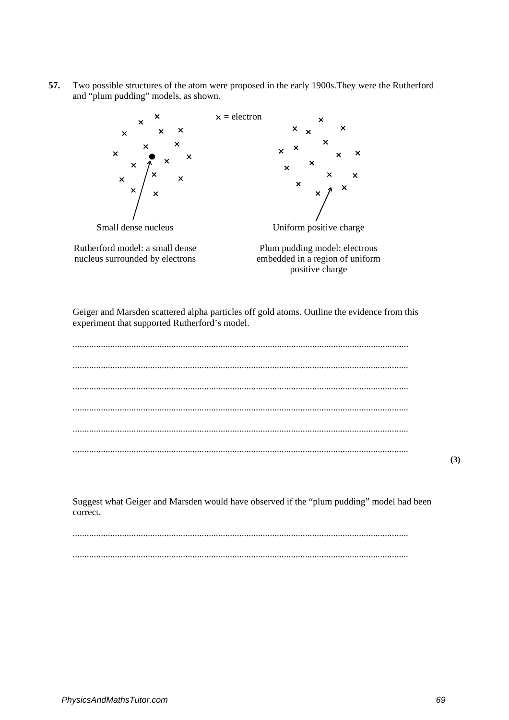57. Two possible structures of the atom were proposed in the early 1900s. They were the Rutherford and "plum pudding" models, as shown.



Geiger and Marsden scattered alpha particles off gold atoms. Outline the evidence from this experiment that supported Rutherford's model.

 $(3)$ 

Suggest what Geiger and Marsden would have observed if the "plum pudding" model had been correct.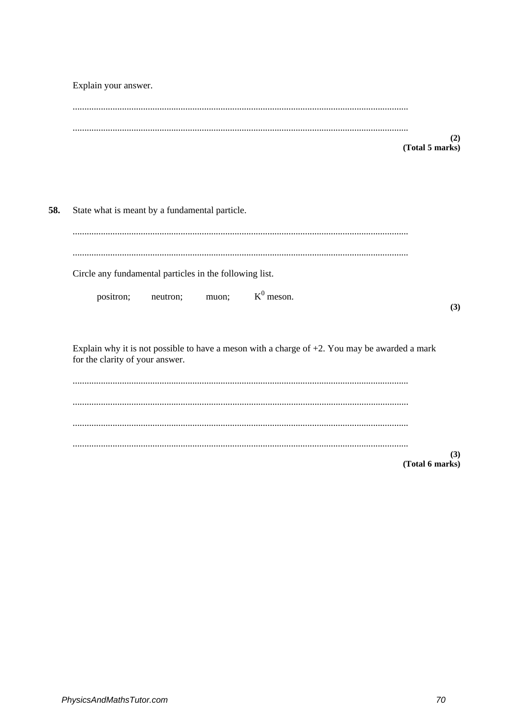Explain your answer.

(Total 5 marks)

| 58. | State what is meant by a fundamental particle.                                                   |     |  |  |
|-----|--------------------------------------------------------------------------------------------------|-----|--|--|
|     |                                                                                                  |     |  |  |
|     | Circle any fundamental particles in the following list.                                          |     |  |  |
|     | $K^0$ meson.<br>positron;<br>neutron;<br>muon;                                                   | (3) |  |  |
|     | Explain why it is not possible to have a meson with a charge of $+2$ . You may be awarded a mark |     |  |  |
|     | for the clarity of your answer.                                                                  |     |  |  |
|     |                                                                                                  |     |  |  |
|     |                                                                                                  |     |  |  |
|     | (Total 6 marks)                                                                                  | (3) |  |  |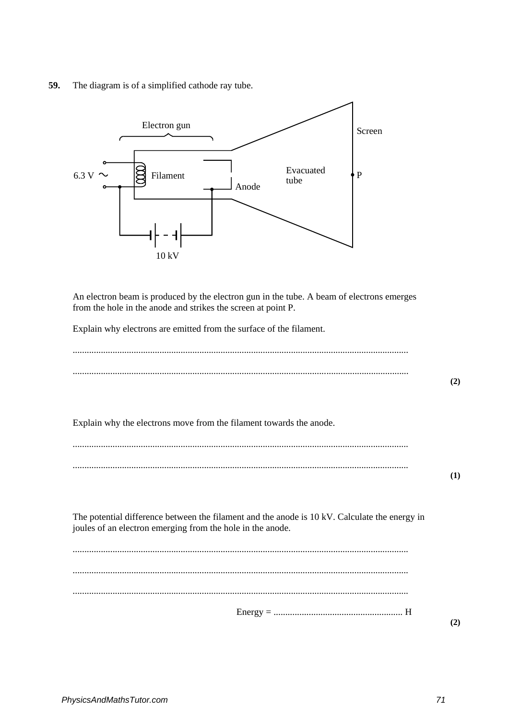**59.** The diagram is of a simplified cathode ray tube.



An electron beam is produced by the electron gun in the tube. A beam of electrons emerges from the hole in the anode and strikes the screen at point P.

Explain why electrons are emitted from the surface of the filament.

Explain why the electrons move from the filament towards the anode.

The potential difference between the filament and the anode is 10 kV. Calculate the energy in joules of an electron emerging from the hole in the anode.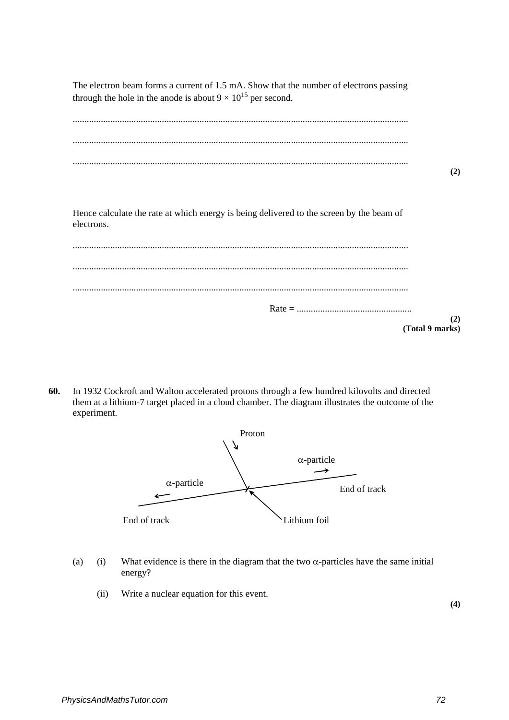The electron beam forms a current of 1.5 mA. Show that the number of electrons passing through the hole in the anode is about  $9 \times 10^{15}$  per second.

|                                                                                                        | (2)             |
|--------------------------------------------------------------------------------------------------------|-----------------|
|                                                                                                        |                 |
| Hence calculate the rate at which energy is being delivered to the screen by the beam of<br>electrons. |                 |
|                                                                                                        |                 |
|                                                                                                        |                 |
|                                                                                                        |                 |
|                                                                                                        | (2)             |
|                                                                                                        | (Total 9 marks) |

**60.** In 1932 Cockroft and Walton accelerated protons through a few hundred kilovolts and directed them at a lithium-7 target placed in a cloud chamber. The diagram illustrates the outcome of the experiment.



- (a) (i) What evidence is there in the diagram that the two  $\alpha$ -particles have the same initial energy?
	- (ii) Write a nuclear equation for this event.

**(4)**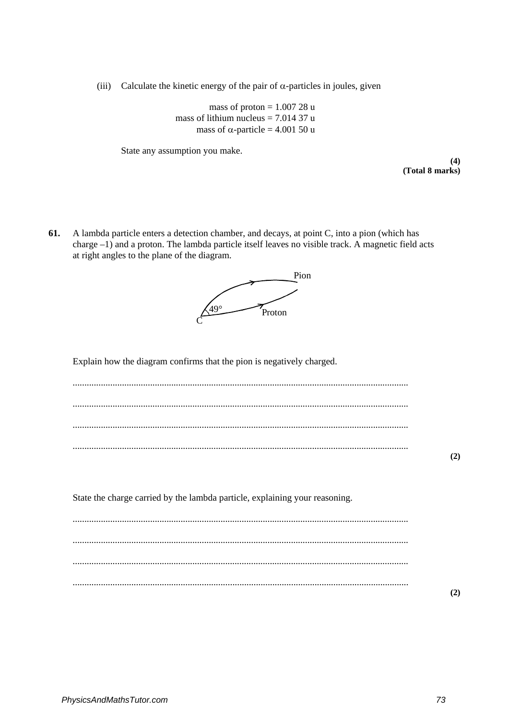(iii) Calculate the kinetic energy of the pair of  $\alpha$ -particles in joules, given

mass of proton  $= 1.00728$  u mass of lithium nucleus  $= 7.01437$  u mass of  $\alpha$ -particle = 4.001 50 u

State any assumption you make.

**(4) (Total 8 marks)**

**61.** A lambda particle enters a detection chamber, and decays, at point C, into a pion (which has charge –1) and a proton. The lambda particle itself leaves no visible track. A magnetic field acts at right angles to the plane of the diagram.



Explain how the diagram confirms that the pion is negatively charged.

............................................................................................................................................... ............................................................................................................................................... ............................................................................................................................................... ...............................................................................................................................................

**(2)**

**(2)**

State the charge carried by the lambda particle, explaining your reasoning.

............................................................................................................................................... ............................................................................................................................................... ............................................................................................................................................... ...............................................................................................................................................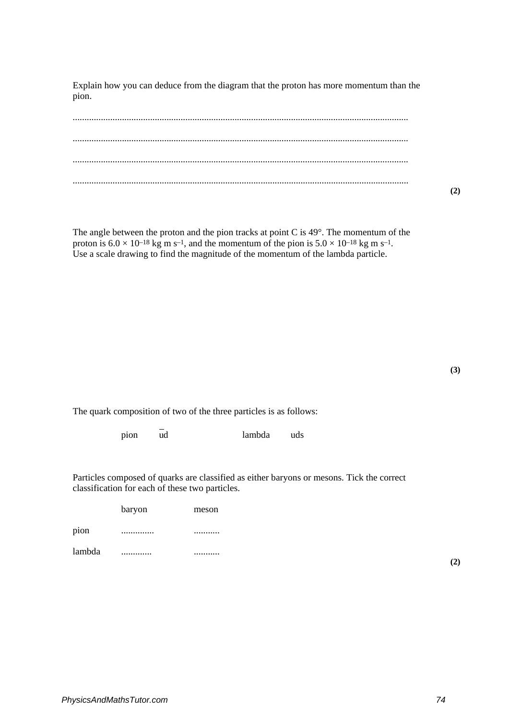Explain how you can deduce from the diagram that the proton has more momentum than the pion.

**(2)**

The angle between the proton and the pion tracks at point C is 49°. The momentum of the proton is  $6.0 \times 10^{-18}$  kg m s<sup>-1</sup>, and the momentum of the pion is  $5.0 \times 10^{-18}$  kg m s<sup>-1</sup>. Use a scale drawing to find the magnitude of the momentum of the lambda particle.

The quark composition of two of the three particles is as follows:

pion ud lambda uds

Particles composed of quarks are classified as either baryons or mesons. Tick the correct classification for each of these two particles.

|        | baryon | meson |
|--------|--------|-------|
| pion   |        |       |
| lambda |        |       |

**(2)**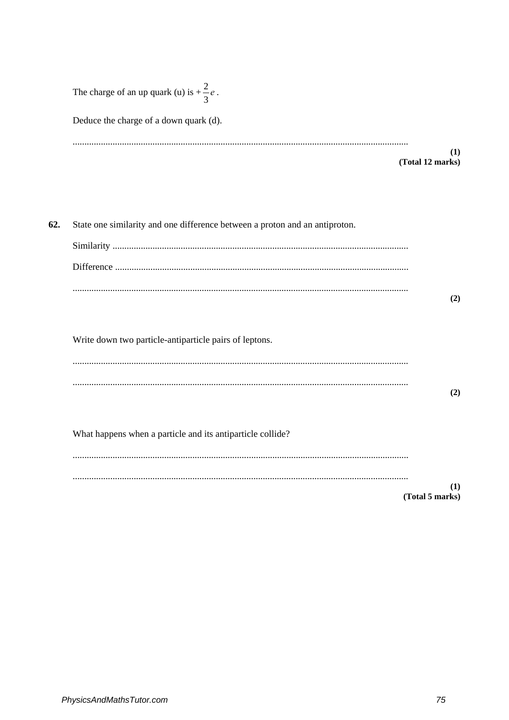|     | The charge of an up quark (u) is $+\frac{2}{3}e$ .                          |                         |
|-----|-----------------------------------------------------------------------------|-------------------------|
|     | Deduce the charge of a down quark (d).                                      |                         |
|     |                                                                             | (1)<br>(Total 12 marks) |
| 62. | State one similarity and one difference between a proton and an antiproton. |                         |
|     |                                                                             |                         |
|     |                                                                             |                         |
|     |                                                                             | (2)                     |
|     | Write down two particle-antiparticle pairs of leptons.                      |                         |
|     |                                                                             |                         |
|     |                                                                             | (2)                     |
|     | What happens when a particle and its antiparticle collide?                  |                         |

 $(1)$ 

 $(Total 5 marks)$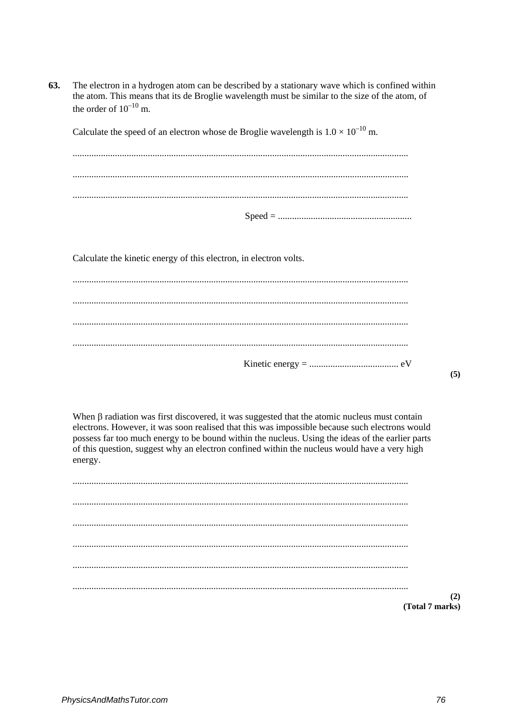63. The electron in a hydrogen atom can be described by a stationary wave which is confined within the atom. This means that its de Broglie wavelength must be similar to the size of the atom, of the order of  $10^{-10}$  m.

Calculate the speed of an electron whose de Broglie wavelength is  $1.0 \times 10^{-10}$  m.

Calculate the kinetic energy of this electron, in electron volts.

When  $\beta$  radiation was first discovered, it was suggested that the atomic nucleus must contain electrons. However, it was soon realised that this was impossible because such electrons would possess far too much energy to be bound within the nucleus. Using the ideas of the earlier parts of this question, suggest why an electron confined within the nucleus would have a very high energy.

 $(2)$ (Total 7 marks)

 $(5)$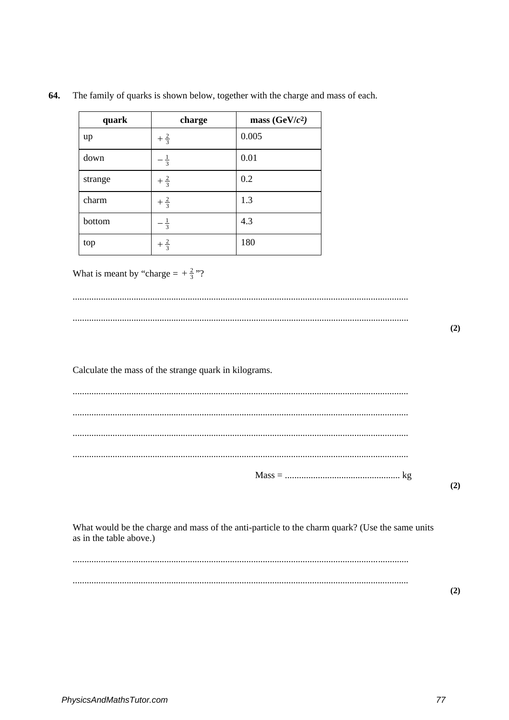| quark                   | charge                                                | mass $(GeV/c2)$ |                                                                                                |
|-------------------------|-------------------------------------------------------|-----------------|------------------------------------------------------------------------------------------------|
| up                      | $+\frac{2}{3}$                                        | 0.005           |                                                                                                |
| down                    | $-\frac{1}{3}$                                        | 0.01            |                                                                                                |
| strange                 | $+\frac{2}{3}$                                        | 0.2             |                                                                                                |
| charm                   | $+\frac{2}{3}$                                        | 1.3             |                                                                                                |
| bottom                  | $-\frac{1}{3}$                                        | 4.3             |                                                                                                |
| top                     | $+\frac{2}{3}$                                        | 180             |                                                                                                |
|                         |                                                       |                 |                                                                                                |
|                         | Calculate the mass of the strange quark in kilograms. |                 |                                                                                                |
|                         |                                                       |                 |                                                                                                |
|                         |                                                       |                 |                                                                                                |
| as in the table above.) |                                                       |                 | What would be the charge and mass of the anti-particle to the charm quark? (Use the same units |
|                         |                                                       |                 |                                                                                                |

## 64. The family of quarks is shown below, together with the charge and mass of each.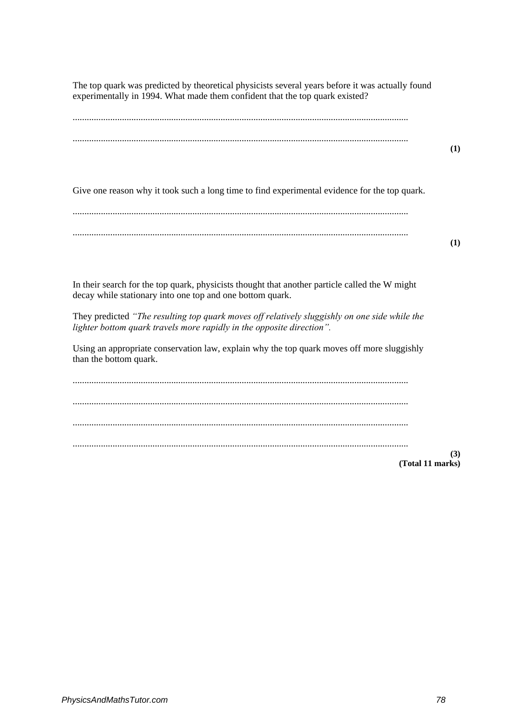The top quark was predicted by theoretical physicists several years before it was actually found experimentally in 1994. What made them confident that the top quark existed?

............................................................................................................................................... ...............................................................................................................................................

**(1)**

**(1)**

Give one reason why it took such a long time to find experimental evidence for the top quark.

 In their search for the top quark, physicists thought that another particle called the W might decay while stationary into one top and one bottom quark.

They predicted *"The resulting top quark moves off relatively sluggishly on one side while the lighter bottom quark travels more rapidly in the opposite direction".*

Using an appropriate conservation law, explain why the top quark moves off more sluggishly than the bottom quark.

............................................................................................................................................... ............................................................................................................................................... ............................................................................................................................................... ...............................................................................................................................................

**(3) (Total 11 marks)**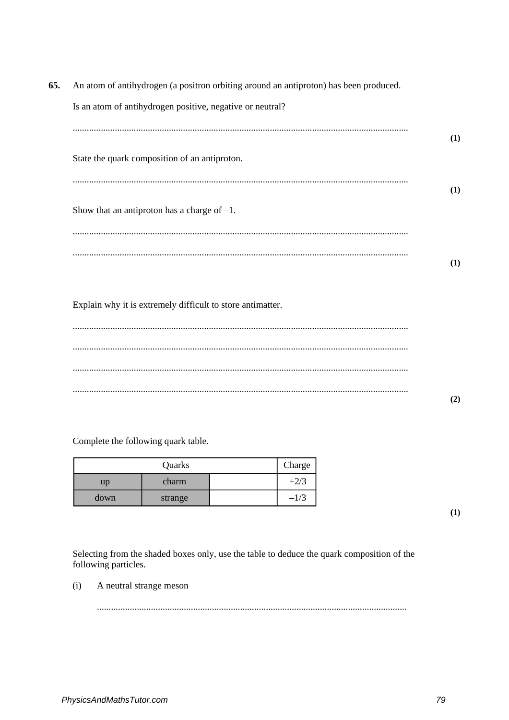65. An atom of antihydrogen (a positron orbiting around an antiproton) has been produced. Is an atom of antihydrogen positive, negative or neutral?  $(1)$ State the quark composition of an antiproton.  $(1)$ Show that an antiproton has a charge of  $-1$ .  $(1)$ 

Explain why it is extremely difficult to store antimatter.

Complete the following quark table.

| Quarks |         | Charge |        |
|--------|---------|--------|--------|
| up     | charm   |        | +2/3   |
| down   | strange |        | $-1/3$ |

 $(1)$ 

 $(2)$ 

Selecting from the shaded boxes only, use the table to deduce the quark composition of the following particles.

 $(i)$ A neutral strange meson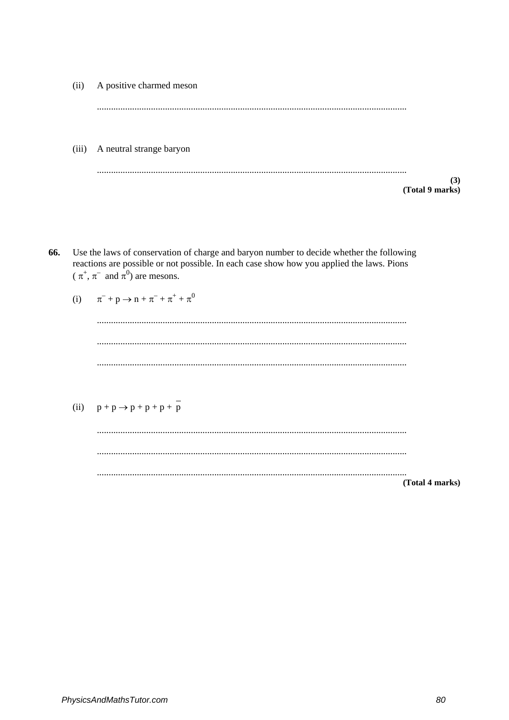|       | (Total 9 marks)          |
|-------|--------------------------|
|       | <br><br>(3)              |
| (iii) | A neutral strange baryon |
|       |                          |
|       |                          |
| (ii)  | A positive charmed meson |

- 66. Use the laws of conservation of charge and baryon number to decide whether the following reactions are possible or not possible. In each case show how you applied the laws. Pions  $(\pi^+, \pi^-)$  and  $\pi^0$  are mesons.
	- $\pi^- + p \to n + \pi^- + \pi^+ + \pi^0$  $(i)$
	- (ii)  $p + p \rightarrow p + p + p + p$ (Total 4 marks)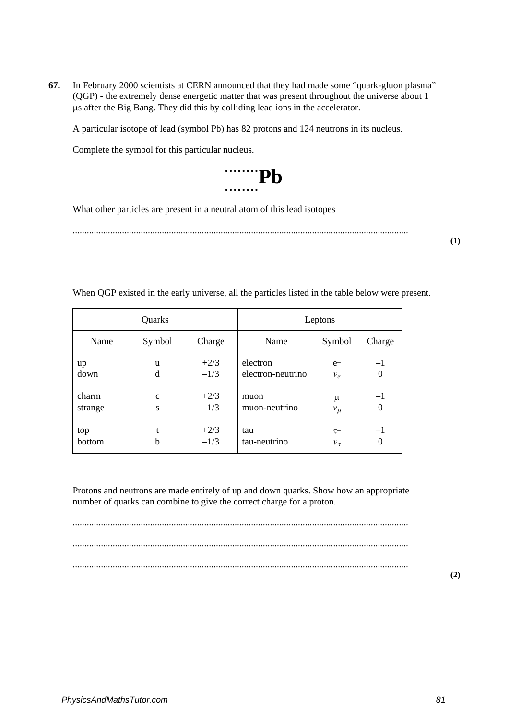**67.** In February 2000 scientists at CERN announced that they had made some "quark-gluon plasma" (QGP) - the extremely dense energetic matter that was present throughout the universe about 1 µs after the Big Bang. They did this by colliding lead ions in the accelerator.

A particular isotope of lead (symbol Pb) has 82 protons and 124 neutrons in its nucleus.

Complete the symbol for this particular nucleus.



What other particles are present in a neutral atom of this lead isotopes

...............................................................................................................................................

**(1)** 

| Quarks  |             |        |                   | Leptons  |                |
|---------|-------------|--------|-------------------|----------|----------------|
| Name    | Symbol      | Charge | Name              | Symbol   | Charge         |
| up      | u           | $+2/3$ | electron          | $e-$     | $-1$           |
| down    | d           | $-1/3$ | electron-neutrino | $v_e$    | $\theta$       |
| charm   | $\mathbf c$ | $+2/3$ | muon              | μ        | $-1$           |
| strange | S           | $-1/3$ | muon-neutrino     | $v_\mu$  | $\overline{0}$ |
| top     | b           | $+2/3$ | tau               | $\tau$ - | $-1$           |
| bottom  |             | $-1/3$ | tau-neutrino      | $v_\tau$ | 0              |

When QGP existed in the early universe, all the particles listed in the table below were present.

Protons and neutrons are made entirely of up and down quarks. Show how an appropriate number of quarks can combine to give the correct charge for a proton.

............................................................................................................................................... ............................................................................................................................................... ...............................................................................................................................................

**(2)**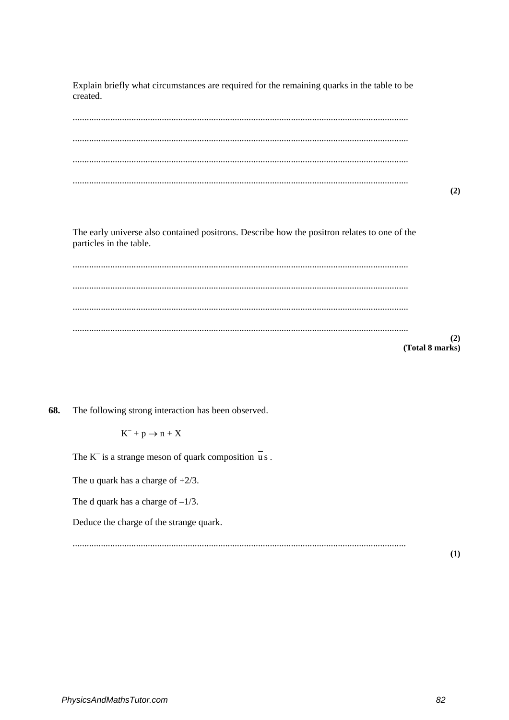Explain briefly what circumstances are required for the remaining quarks in the table to be created.

| (2)                                                                                                                     |
|-------------------------------------------------------------------------------------------------------------------------|
|                                                                                                                         |
| The early universe also contained positrons. Describe how the positron relates to one of the<br>particles in the table. |
|                                                                                                                         |
|                                                                                                                         |
|                                                                                                                         |
| (2)<br>(Total 8 marks)                                                                                                  |

68. The following strong interaction has been observed.

## $K^-$  + p  $\rightarrow$  n + X

The  $K^-$  is a strange meson of quark composition  $\bar{u}$  s.

The u quark has a charge of  $+2/3$ .

The d quark has a charge of  $-1/3$ .

Deduce the charge of the strange quark.

 $(1)$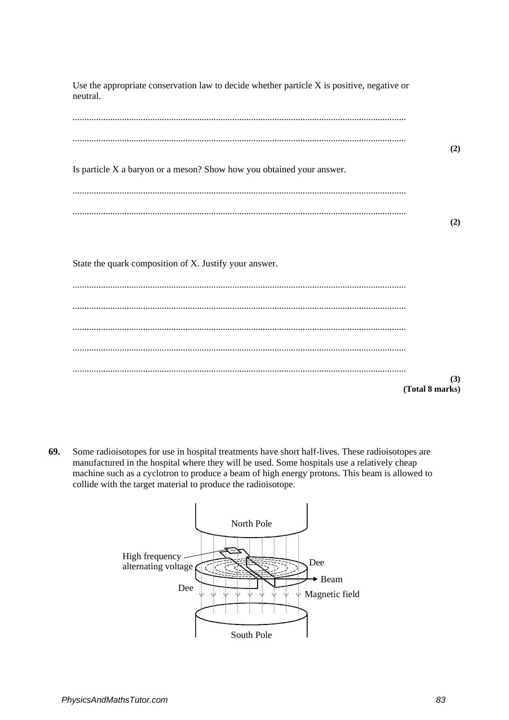Use the appropriate conservation law to decide whether particle X is positive, negative or neutral. .............................................................................................................................................. .............................................................................................................................................. **(2)** Is particle X a baryon or a meson? Show how you obtained your answer. .............................................................................................................................................. .............................................................................................................................................. **(2)** State the quark composition of X. Justify your answer. .............................................................................................................................................. .............................................................................................................................................. .............................................................................................................................................. .............................................................................................................................................. .............................................................................................................................................. **(3) (Total 8 marks)**

**69.** Some radioisotopes for use in hospital treatments have short half-lives. These radioisotopes are manufactured in the hospital where they will be used. Some hospitals use a relatively cheap machine such as a cyclotron to produce a beam of high energy protons. This beam is allowed to collide with the target material to produce the radioisotope.

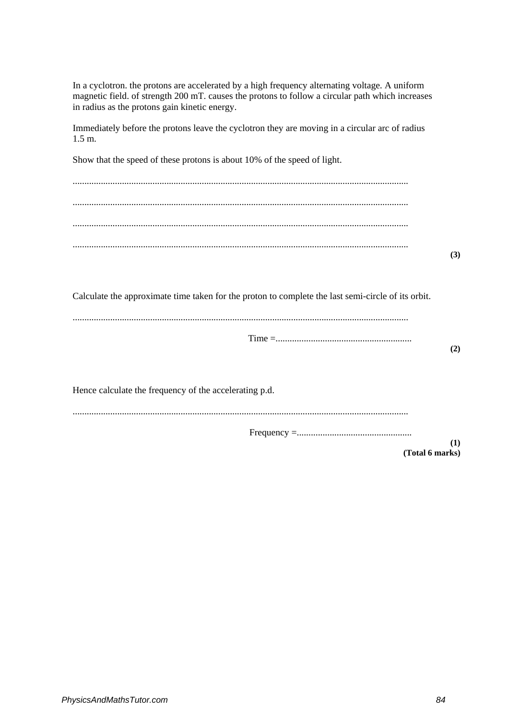In a cyclotron. the protons are accelerated by a high frequency alternating voltage. A uniform magnetic field. of strength 200 mT. causes the protons to follow a circular path which increases in radius as the protons gain kinetic energy.

Immediately before the protons leave the cyclotron they are moving in a circular arc of radius 1.5 m.

Show that the speed of these protons is about 10% of the speed of light.

............................................................................................................................................... ............................................................................................................................................... ............................................................................................................................................... ...............................................................................................................................................

Calculate the approximate time taken for the proton to complete the last semi-circle of its orbit.

Hence calculate the frequency of the accelerating p.d. ............................................................................................................................................... Frequency =.................................................

**(Total 6 marks)**

**(3)**

**(2)**

**(1)**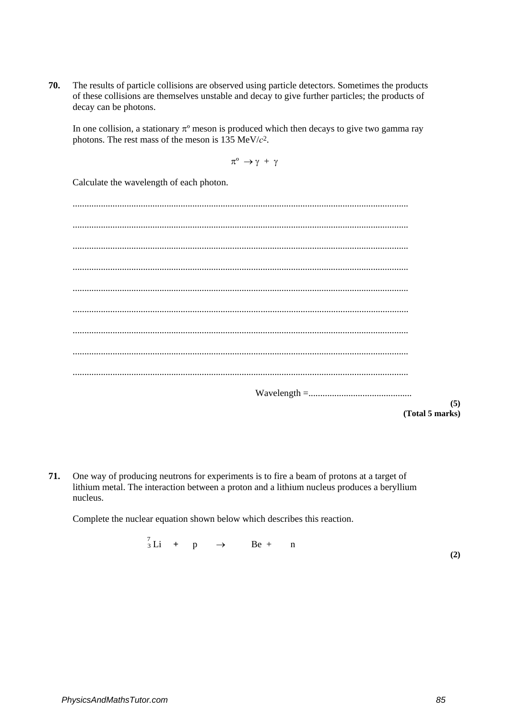**70.** The results of particle collisions are observed using particle detectors. Sometimes the products of these collisions are themselves unstable and decay to give further particles; the products of decay can be photons.

In one collision, a stationary  $\pi^{\circ}$  meson is produced which then decays to give two gamma ray photons. The rest mass of the meson is 135 MeV/*c*2.

 $\pi^{\circ} \rightarrow \gamma + \gamma$ 

Calculate the wavelength of each photon.

............................................................................................................................................... ............................................................................................................................................... ............................................................................................................................................... ............................................................................................................................................... ............................................................................................................................................... ............................................................................................................................................... ............................................................................................................................................... ............................................................................................................................................... ............................................................................................................................................... Wavelength =............................................ **(Total 5 marks)**

**71.** One way of producing neutrons for experiments is to fire a beam of protons at a target of lithium metal. The interaction between a proton and a lithium nucleus produces a beryllium nucleus.

Complete the nuclear equation shown below which describes this reaction.

 $\frac{7}{3}$ Li + p  $\rightarrow$  Be + n

**(2)**

**(5)**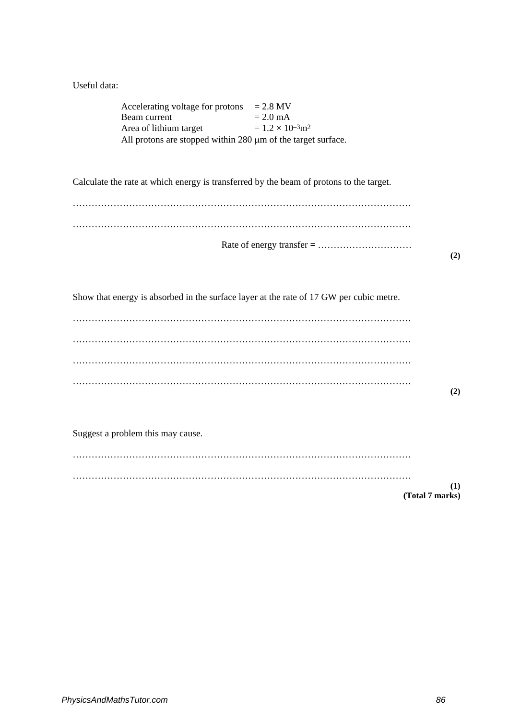| Useful data: |  |
|--------------|--|
|--------------|--|

| Accelerating voltage for protons $= 2.8$ MV<br>Beam current<br>Area of lithium target<br>All protons are stopped within 280 µm of the target surface. | $= 2.0$ mA<br>$= 1.2 \times 10^{-3}$ m <sup>2</sup> |
|-------------------------------------------------------------------------------------------------------------------------------------------------------|-----------------------------------------------------|
| Calculate the rate at which energy is transferred by the beam of protons to the target.                                                               |                                                     |
|                                                                                                                                                       |                                                     |
|                                                                                                                                                       | (2)                                                 |
| Show that energy is absorbed in the surface layer at the rate of 17 GW per cubic metre.                                                               |                                                     |
|                                                                                                                                                       |                                                     |
|                                                                                                                                                       |                                                     |
|                                                                                                                                                       | (2)                                                 |
|                                                                                                                                                       |                                                     |

Suggest a problem this may cause.

……………………………………………………………………………………………… ……………………………………………………………………………………………… **(1) (Total 7 marks)**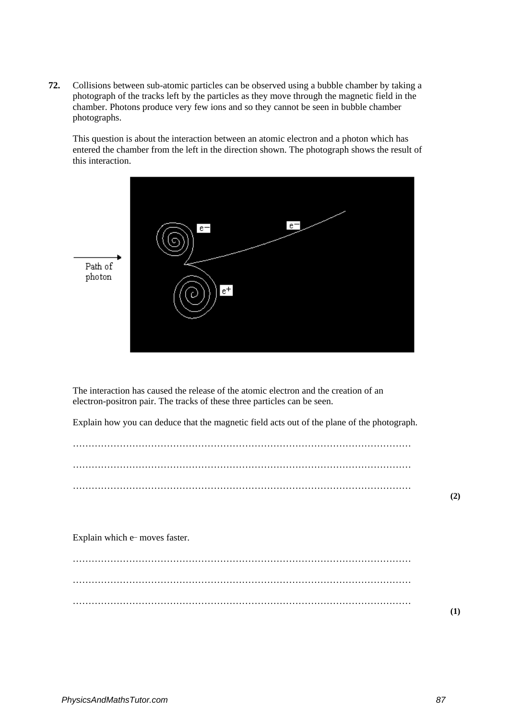**72.** Collisions between sub-atomic particles can be observed using a bubble chamber by taking a photograph of the tracks left by the particles as they move through the magnetic field in the chamber. Photons produce very few ions and so they cannot be seen in bubble chamber photographs.

This question is about the interaction between an atomic electron and a photon which has entered the chamber from the left in the direction shown. The photograph shows the result of this interaction.



The interaction has caused the release of the atomic electron and the creation of an electron-positron pair. The tracks of these three particles can be seen.

Explain how you can deduce that the magnetic field acts out of the plane of the photograph.



Explain which e– moves faster.

……………………………………………………………………………………………… ……………………………………………………………………………………………… ……………………………………………………………………………………………… **(1)**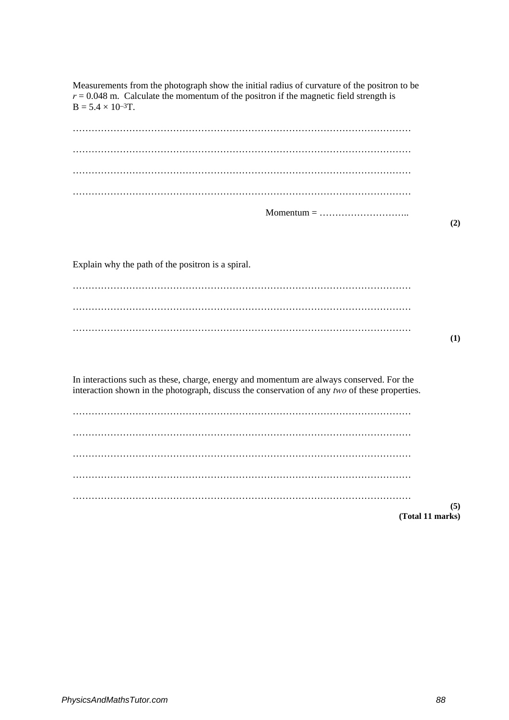| Measurements from the photograph show the initial radius of curvature of the positron to be<br>$r = 0.048$ m. Calculate the momentum of the positron if the magnetic field strength is<br>$B = 5.4 \times 10^{-3}T$ . |
|-----------------------------------------------------------------------------------------------------------------------------------------------------------------------------------------------------------------------|
|                                                                                                                                                                                                                       |
|                                                                                                                                                                                                                       |
|                                                                                                                                                                                                                       |
|                                                                                                                                                                                                                       |
| $Momentum = \dots \dots \dots \dots \dots \dots \dots \dots \dots \dots$<br>(2)                                                                                                                                       |
|                                                                                                                                                                                                                       |
| Explain why the path of the positron is a spiral.                                                                                                                                                                     |
|                                                                                                                                                                                                                       |
|                                                                                                                                                                                                                       |
|                                                                                                                                                                                                                       |
| (1)                                                                                                                                                                                                                   |
|                                                                                                                                                                                                                       |
| In interactions such as these, charge, energy and momentum are always conserved. For the<br>interaction shown in the photograph, discuss the conservation of any two of these properties.                             |
|                                                                                                                                                                                                                       |
|                                                                                                                                                                                                                       |
|                                                                                                                                                                                                                       |
|                                                                                                                                                                                                                       |
| .                                                                                                                                                                                                                     |
| (5)<br>(Total 11 marks)                                                                                                                                                                                               |